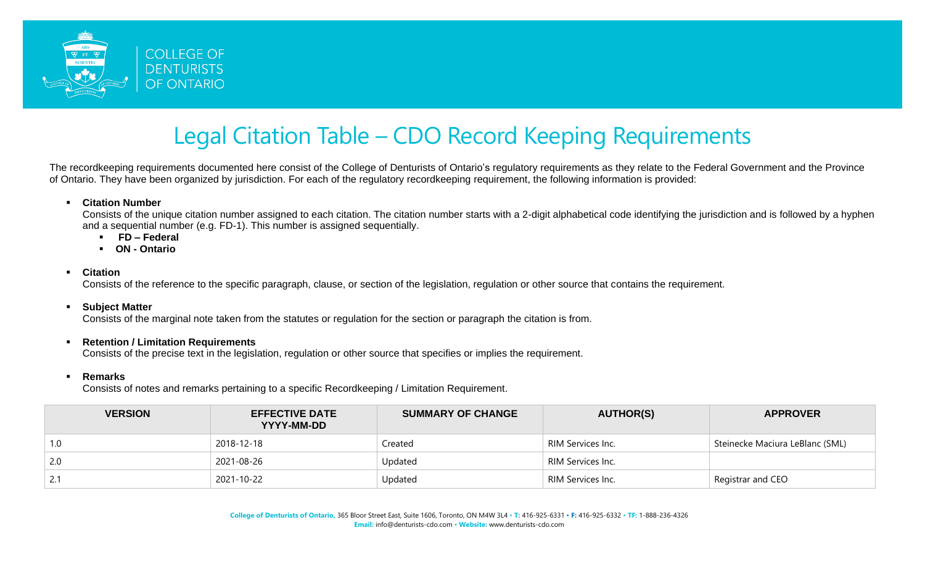

## Legal Citation Table – CDO Record Keeping Requirements

The recordkeeping requirements documented here consist of the College of Denturists of Ontario's regulatory requirements as they relate to the Federal Government and the Province of Ontario. They have been organized by jurisdiction. For each of the regulatory recordkeeping requirement, the following information is provided:

▪ **Citation Number**

Consists of the unique citation number assigned to each citation. The citation number starts with a 2-digit alphabetical code identifying the jurisdiction and is followed by a hyphen and a sequential number (e.g. FD-1). This number is assigned sequentially.

- **FD – Federal**
- **ON - Ontario**
- **Citation**

Consists of the reference to the specific paragraph, clause, or section of the legislation, regulation or other source that contains the requirement.

## ▪ **Subject Matter**

Consists of the marginal note taken from the statutes or regulation for the section or paragraph the citation is from.

## ▪ **Retention / Limitation Requirements**

Consists of the precise text in the legislation, regulation or other source that specifies or implies the requirement.

## ▪ **Remarks**

Consists of notes and remarks pertaining to a specific Recordkeeping / Limitation Requirement.

| <b>VERSION</b> | <b>EFFECTIVE DATE</b><br>YYYY-MM-DD | <b>SUMMARY OF CHANGE</b> | <b>AUTHOR(S)</b>  | <b>APPROVER</b>                 |
|----------------|-------------------------------------|--------------------------|-------------------|---------------------------------|
| 1.0            | 2018-12-18                          | Created                  | RIM Services Inc. | Steinecke Maciura LeBlanc (SML) |
| 2.0            | 2021-08-26                          | Updated                  | RIM Services Inc. |                                 |
| 2.1            | 2021-10-22                          | Updated                  | RIM Services Inc. | Registrar and CEO               |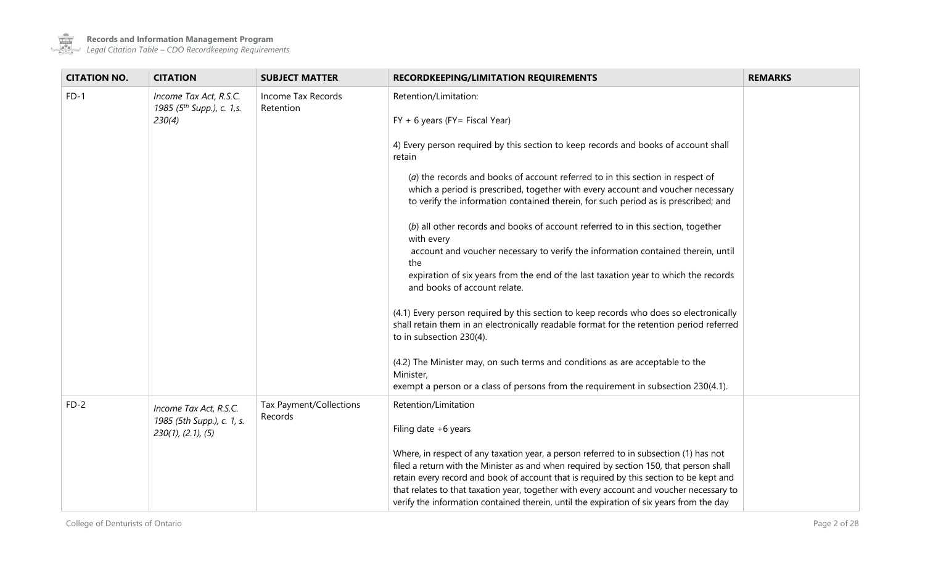

| <b>CITATION NO.</b>                                      | <b>CITATION</b>                                                 | <b>SUBJECT MATTER</b>              | <b>RECORDKEEPING/LIMITATION REQUIREMENTS</b>                                                                                                                                        | <b>REMARKS</b> |
|----------------------------------------------------------|-----------------------------------------------------------------|------------------------------------|-------------------------------------------------------------------------------------------------------------------------------------------------------------------------------------|----------------|
| $FD-1$                                                   | Income Tax Act, R.S.C.<br>1985 (5 <sup>th</sup> Supp.), c. 1,s. | Income Tax Records<br>Retention    | Retention/Limitation:                                                                                                                                                               |                |
|                                                          | 230(4)                                                          |                                    | $FY + 6$ years ( $FY =$ Fiscal Year)                                                                                                                                                |                |
|                                                          |                                                                 |                                    | 4) Every person required by this section to keep records and books of account shall<br>retain                                                                                       |                |
|                                                          |                                                                 |                                    | (a) the records and books of account referred to in this section in respect of                                                                                                      |                |
|                                                          |                                                                 |                                    | which a period is prescribed, together with every account and voucher necessary<br>to verify the information contained therein, for such period as is prescribed; and               |                |
|                                                          |                                                                 |                                    |                                                                                                                                                                                     |                |
|                                                          |                                                                 |                                    | (b) all other records and books of account referred to in this section, together<br>with every                                                                                      |                |
|                                                          |                                                                 |                                    | account and voucher necessary to verify the information contained therein, until<br>the                                                                                             |                |
|                                                          |                                                                 |                                    | expiration of six years from the end of the last taxation year to which the records                                                                                                 |                |
|                                                          |                                                                 |                                    | and books of account relate.                                                                                                                                                        |                |
|                                                          |                                                                 |                                    |                                                                                                                                                                                     |                |
|                                                          |                                                                 |                                    | (4.1) Every person required by this section to keep records who does so electronically<br>shall retain them in an electronically readable format for the retention period referred  |                |
|                                                          |                                                                 |                                    | to in subsection 230(4).                                                                                                                                                            |                |
|                                                          |                                                                 |                                    | (4.2) The Minister may, on such terms and conditions as are acceptable to the                                                                                                       |                |
|                                                          |                                                                 |                                    | Minister,                                                                                                                                                                           |                |
|                                                          |                                                                 |                                    | exempt a person or a class of persons from the requirement in subsection 230(4.1).                                                                                                  |                |
| $FD-2$                                                   | Income Tax Act, R.S.C.                                          | Tax Payment/Collections<br>Records | Retention/Limitation                                                                                                                                                                |                |
| 1985 (5th Supp.), c. 1, s.<br>$230(1)$ , $(2.1)$ , $(5)$ |                                                                 | Filing date $+6$ years             |                                                                                                                                                                                     |                |
|                                                          |                                                                 |                                    | Where, in respect of any taxation year, a person referred to in subsection (1) has not                                                                                              |                |
|                                                          |                                                                 |                                    | filed a return with the Minister as and when required by section 150, that person shall                                                                                             |                |
|                                                          |                                                                 |                                    | retain every record and book of account that is required by this section to be kept and<br>that relates to that taxation year, together with every account and voucher necessary to |                |
|                                                          |                                                                 |                                    | verify the information contained therein, until the expiration of six years from the day                                                                                            |                |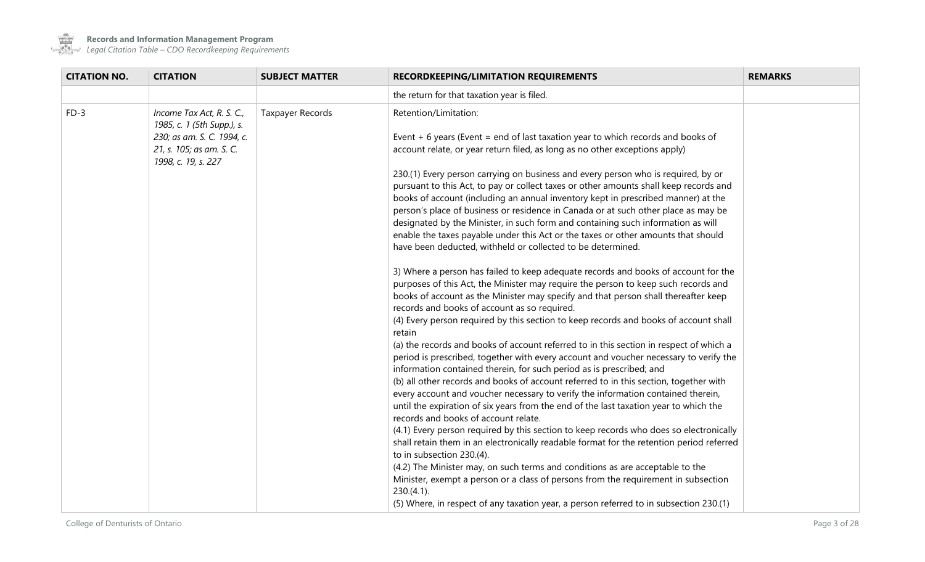

| <b>CITATION NO.</b>                                                           | <b>CITATION</b>                                         | <b>SUBJECT MATTER</b>                                                                                                                                            | RECORDKEEPING/LIMITATION REQUIREMENTS                                                                                                                                                                                                                                                                                                                                                                                                                                                                                                                                                                                                                                                                                                                                                                                                                                                                                                                                                                                                                                                                                                                                                                                                                                                                                                                                                                                                                                                       | <b>REMARKS</b> |
|-------------------------------------------------------------------------------|---------------------------------------------------------|------------------------------------------------------------------------------------------------------------------------------------------------------------------|---------------------------------------------------------------------------------------------------------------------------------------------------------------------------------------------------------------------------------------------------------------------------------------------------------------------------------------------------------------------------------------------------------------------------------------------------------------------------------------------------------------------------------------------------------------------------------------------------------------------------------------------------------------------------------------------------------------------------------------------------------------------------------------------------------------------------------------------------------------------------------------------------------------------------------------------------------------------------------------------------------------------------------------------------------------------------------------------------------------------------------------------------------------------------------------------------------------------------------------------------------------------------------------------------------------------------------------------------------------------------------------------------------------------------------------------------------------------------------------------|----------------|
|                                                                               |                                                         |                                                                                                                                                                  | the return for that taxation year is filed.                                                                                                                                                                                                                                                                                                                                                                                                                                                                                                                                                                                                                                                                                                                                                                                                                                                                                                                                                                                                                                                                                                                                                                                                                                                                                                                                                                                                                                                 |                |
| $FD-3$                                                                        | Income Tax Act, R. S. C.,<br>1985, c. 1 (5th Supp.), s. | Taxpayer Records                                                                                                                                                 | Retention/Limitation:                                                                                                                                                                                                                                                                                                                                                                                                                                                                                                                                                                                                                                                                                                                                                                                                                                                                                                                                                                                                                                                                                                                                                                                                                                                                                                                                                                                                                                                                       |                |
| 230; as am. S. C. 1994, c.<br>21, s. 105; as am. S. C.<br>1998, c. 19, s. 227 |                                                         | Event $+6$ years (Event = end of last taxation year to which records and books of<br>account relate, or year return filed, as long as no other exceptions apply) |                                                                                                                                                                                                                                                                                                                                                                                                                                                                                                                                                                                                                                                                                                                                                                                                                                                                                                                                                                                                                                                                                                                                                                                                                                                                                                                                                                                                                                                                                             |                |
|                                                                               |                                                         |                                                                                                                                                                  | 230.(1) Every person carrying on business and every person who is required, by or<br>pursuant to this Act, to pay or collect taxes or other amounts shall keep records and<br>books of account (including an annual inventory kept in prescribed manner) at the<br>person's place of business or residence in Canada or at such other place as may be<br>designated by the Minister, in such form and containing such information as will<br>enable the taxes payable under this Act or the taxes or other amounts that should<br>have been deducted, withheld or collected to be determined.                                                                                                                                                                                                                                                                                                                                                                                                                                                                                                                                                                                                                                                                                                                                                                                                                                                                                               |                |
|                                                                               |                                                         |                                                                                                                                                                  | 3) Where a person has failed to keep adequate records and books of account for the<br>purposes of this Act, the Minister may require the person to keep such records and<br>books of account as the Minister may specify and that person shall thereafter keep<br>records and books of account as so required.<br>(4) Every person required by this section to keep records and books of account shall<br>retain<br>(a) the records and books of account referred to in this section in respect of which a<br>period is prescribed, together with every account and voucher necessary to verify the<br>information contained therein, for such period as is prescribed; and<br>(b) all other records and books of account referred to in this section, together with<br>every account and voucher necessary to verify the information contained therein,<br>until the expiration of six years from the end of the last taxation year to which the<br>records and books of account relate.<br>(4.1) Every person required by this section to keep records who does so electronically<br>shall retain them in an electronically readable format for the retention period referred<br>to in subsection 230.(4).<br>(4.2) The Minister may, on such terms and conditions as are acceptable to the<br>Minister, exempt a person or a class of persons from the requirement in subsection<br>230.(4.1).<br>(5) Where, in respect of any taxation year, a person referred to in subsection 230.(1) |                |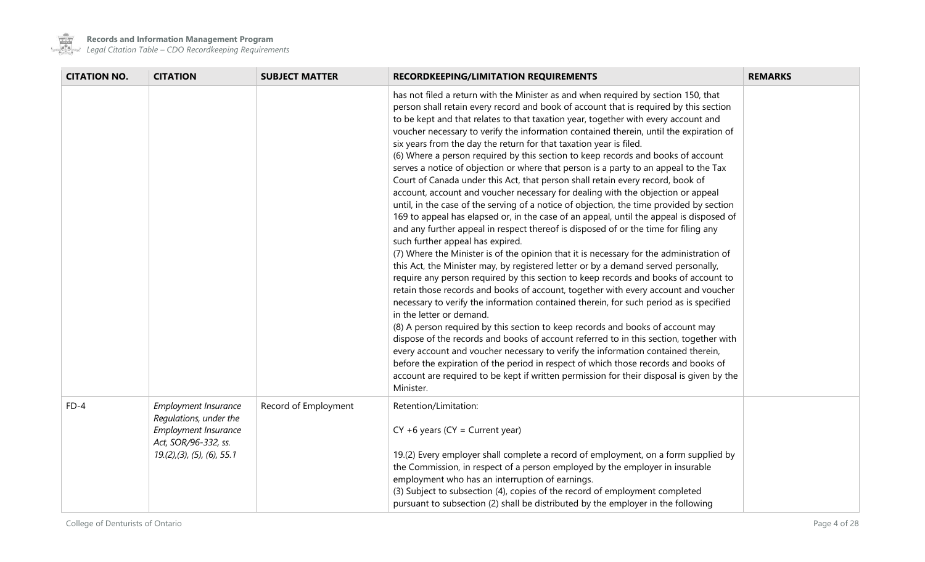

 $\mathcal{L}_{\rm{max}}$ 

**Records and Information Management Program**

| <b>CITATION NO.</b> | <b>CITATION</b>                                                                                                              | <b>SUBJECT MATTER</b> | <b>RECORDKEEPING/LIMITATION REQUIREMENTS</b>                                                                                                                                                                                                                                                                                                                                                                                                                                                                                                                                                                                                                                                                                                                                                                                                                                                                                                                                                                                                                                                                                                                                                                                                                                                                                                                                                                                                                                                                                                                                                                                                                                                                                                                                                                                                                                                                                                                                                                                                            | <b>REMARKS</b> |
|---------------------|------------------------------------------------------------------------------------------------------------------------------|-----------------------|---------------------------------------------------------------------------------------------------------------------------------------------------------------------------------------------------------------------------------------------------------------------------------------------------------------------------------------------------------------------------------------------------------------------------------------------------------------------------------------------------------------------------------------------------------------------------------------------------------------------------------------------------------------------------------------------------------------------------------------------------------------------------------------------------------------------------------------------------------------------------------------------------------------------------------------------------------------------------------------------------------------------------------------------------------------------------------------------------------------------------------------------------------------------------------------------------------------------------------------------------------------------------------------------------------------------------------------------------------------------------------------------------------------------------------------------------------------------------------------------------------------------------------------------------------------------------------------------------------------------------------------------------------------------------------------------------------------------------------------------------------------------------------------------------------------------------------------------------------------------------------------------------------------------------------------------------------------------------------------------------------------------------------------------------------|----------------|
|                     |                                                                                                                              |                       | has not filed a return with the Minister as and when required by section 150, that<br>person shall retain every record and book of account that is required by this section<br>to be kept and that relates to that taxation year, together with every account and<br>voucher necessary to verify the information contained therein, until the expiration of<br>six years from the day the return for that taxation year is filed.<br>(6) Where a person required by this section to keep records and books of account<br>serves a notice of objection or where that person is a party to an appeal to the Tax<br>Court of Canada under this Act, that person shall retain every record, book of<br>account, account and voucher necessary for dealing with the objection or appeal<br>until, in the case of the serving of a notice of objection, the time provided by section<br>169 to appeal has elapsed or, in the case of an appeal, until the appeal is disposed of<br>and any further appeal in respect thereof is disposed of or the time for filing any<br>such further appeal has expired.<br>(7) Where the Minister is of the opinion that it is necessary for the administration of<br>this Act, the Minister may, by registered letter or by a demand served personally,<br>require any person required by this section to keep records and books of account to<br>retain those records and books of account, together with every account and voucher<br>necessary to verify the information contained therein, for such period as is specified<br>in the letter or demand.<br>(8) A person required by this section to keep records and books of account may<br>dispose of the records and books of account referred to in this section, together with<br>every account and voucher necessary to verify the information contained therein,<br>before the expiration of the period in respect of which those records and books of<br>account are required to be kept if written permission for their disposal is given by the<br>Minister. |                |
| $FD-4$              | Employment Insurance<br>Regulations, under the<br>Employment Insurance<br>Act, SOR/96-332, ss.<br>19(2), (3), (5), (6), 55.1 | Record of Employment  | Retention/Limitation:<br>$CY + 6$ years ( $CY = Current$ year)<br>19.(2) Every employer shall complete a record of employment, on a form supplied by<br>the Commission, in respect of a person employed by the employer in insurable<br>employment who has an interruption of earnings.<br>(3) Subject to subsection (4), copies of the record of employment completed<br>pursuant to subsection (2) shall be distributed by the employer in the following                                                                                                                                                                                                                                                                                                                                                                                                                                                                                                                                                                                                                                                                                                                                                                                                                                                                                                                                                                                                                                                                                                                                                                                                                                                                                                                                                                                                                                                                                                                                                                                              |                |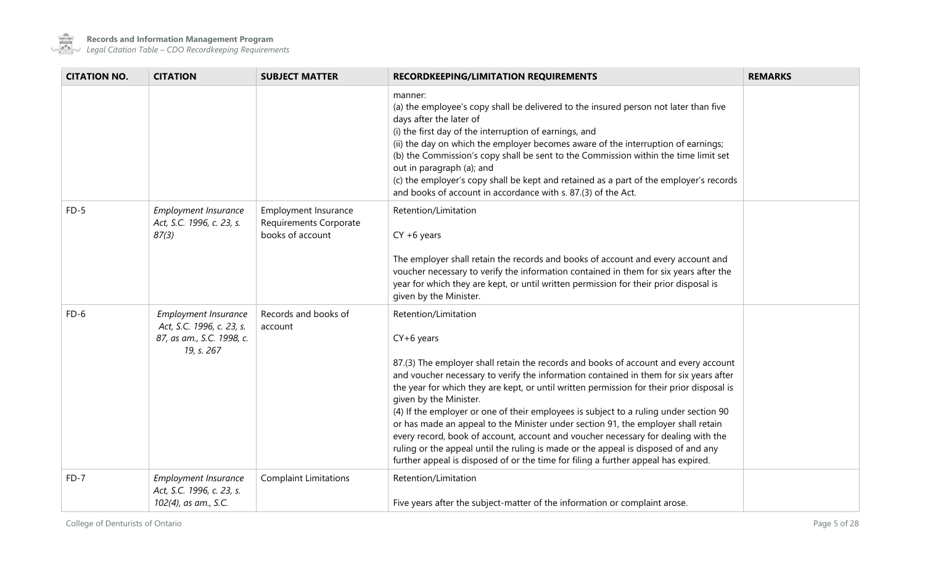

 $\sim$  100  $\mu$ 

**Records and Information Management Program**

| <b>CITATION NO.</b> | <b>CITATION</b>                                                                              | <b>SUBJECT MATTER</b>                                              | RECORDKEEPING/LIMITATION REQUIREMENTS                                                                                                                                                                                                                                                                                                                                                                                                                                                                                                                                                                                                                                                                                                                                                      | <b>REMARKS</b> |
|---------------------|----------------------------------------------------------------------------------------------|--------------------------------------------------------------------|--------------------------------------------------------------------------------------------------------------------------------------------------------------------------------------------------------------------------------------------------------------------------------------------------------------------------------------------------------------------------------------------------------------------------------------------------------------------------------------------------------------------------------------------------------------------------------------------------------------------------------------------------------------------------------------------------------------------------------------------------------------------------------------------|----------------|
|                     |                                                                                              |                                                                    | manner:<br>(a) the employee's copy shall be delivered to the insured person not later than five<br>days after the later of<br>(i) the first day of the interruption of earnings, and<br>(ii) the day on which the employer becomes aware of the interruption of earnings;<br>(b) the Commission's copy shall be sent to the Commission within the time limit set<br>out in paragraph (a); and<br>(c) the employer's copy shall be kept and retained as a part of the employer's records<br>and books of account in accordance with s. 87.(3) of the Act.                                                                                                                                                                                                                                   |                |
| $FD-5$              | Employment Insurance<br>Act, S.C. 1996, c. 23, s.<br>87(3)                                   | Employment Insurance<br>Requirements Corporate<br>books of account | Retention/Limitation<br>$CY + 6$ years<br>The employer shall retain the records and books of account and every account and<br>voucher necessary to verify the information contained in them for six years after the<br>year for which they are kept, or until written permission for their prior disposal is<br>given by the Minister.                                                                                                                                                                                                                                                                                                                                                                                                                                                     |                |
| $FD-6$              | Employment Insurance<br>Act, S.C. 1996, c. 23, s.<br>87, as am., S.C. 1998, c.<br>19, s. 267 | Records and books of<br>account                                    | Retention/Limitation<br>$CY+6$ years<br>87.(3) The employer shall retain the records and books of account and every account<br>and voucher necessary to verify the information contained in them for six years after<br>the year for which they are kept, or until written permission for their prior disposal is<br>given by the Minister.<br>(4) If the employer or one of their employees is subject to a ruling under section 90<br>or has made an appeal to the Minister under section 91, the employer shall retain<br>every record, book of account, account and voucher necessary for dealing with the<br>ruling or the appeal until the ruling is made or the appeal is disposed of and any<br>further appeal is disposed of or the time for filing a further appeal has expired. |                |
| FD-7                | <b>Employment Insurance</b><br>Act, S.C. 1996, c. 23, s.<br>102(4), as am., S.C.             | <b>Complaint Limitations</b>                                       | Retention/Limitation<br>Five years after the subject-matter of the information or complaint arose.                                                                                                                                                                                                                                                                                                                                                                                                                                                                                                                                                                                                                                                                                         |                |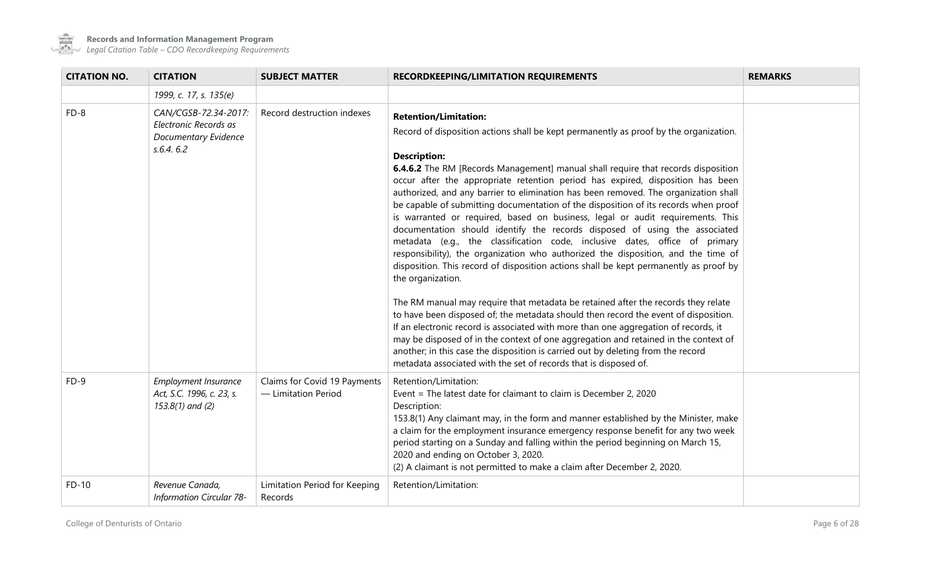

| <b>CITATION NO.</b> | <b>CITATION</b>                                                                           | <b>SUBJECT MATTER</b>                               | <b>RECORDKEEPING/LIMITATION REQUIREMENTS</b>                                                                                                                                                                                                                                                                                                                                                                                                                                                                                                                                                                                                                                                                                                                                                                                                                                                                                                                                                                                                                                                                                                                                                                                                                                                                                                                                                             | <b>REMARKS</b> |
|---------------------|-------------------------------------------------------------------------------------------|-----------------------------------------------------|----------------------------------------------------------------------------------------------------------------------------------------------------------------------------------------------------------------------------------------------------------------------------------------------------------------------------------------------------------------------------------------------------------------------------------------------------------------------------------------------------------------------------------------------------------------------------------------------------------------------------------------------------------------------------------------------------------------------------------------------------------------------------------------------------------------------------------------------------------------------------------------------------------------------------------------------------------------------------------------------------------------------------------------------------------------------------------------------------------------------------------------------------------------------------------------------------------------------------------------------------------------------------------------------------------------------------------------------------------------------------------------------------------|----------------|
|                     | 1999, c. 17, s. 135(e)                                                                    |                                                     |                                                                                                                                                                                                                                                                                                                                                                                                                                                                                                                                                                                                                                                                                                                                                                                                                                                                                                                                                                                                                                                                                                                                                                                                                                                                                                                                                                                                          |                |
| $FD-8$              | CAN/CGSB-72.34-2017:<br>Electronic Records as<br><b>Documentary Evidence</b><br>s.6.4.6.2 | Record destruction indexes                          | <b>Retention/Limitation:</b><br>Record of disposition actions shall be kept permanently as proof by the organization.<br><b>Description:</b><br><b>6.4.6.2</b> The RM [Records Management] manual shall require that records disposition<br>occur after the appropriate retention period has expired, disposition has been<br>authorized, and any barrier to elimination has been removed. The organization shall<br>be capable of submitting documentation of the disposition of its records when proof<br>is warranted or required, based on business, legal or audit requirements. This<br>documentation should identify the records disposed of using the associated<br>metadata (e.g., the classification code, inclusive dates, office of primary<br>responsibility), the organization who authorized the disposition, and the time of<br>disposition. This record of disposition actions shall be kept permanently as proof by<br>the organization.<br>The RM manual may require that metadata be retained after the records they relate<br>to have been disposed of; the metadata should then record the event of disposition.<br>If an electronic record is associated with more than one aggregation of records, it<br>may be disposed of in the context of one aggregation and retained in the context of<br>another; in this case the disposition is carried out by deleting from the record |                |
| $FD-9$              | Employment Insurance<br>Act, S.C. 1996, c. 23, s.<br>153.8(1) and (2)                     | Claims for Covid 19 Payments<br>- Limitation Period | metadata associated with the set of records that is disposed of.<br>Retention/Limitation:<br>Event = The latest date for claimant to claim is December 2, 2020<br>Description:<br>153.8(1) Any claimant may, in the form and manner established by the Minister, make<br>a claim for the employment insurance emergency response benefit for any two week<br>period starting on a Sunday and falling within the period beginning on March 15,<br>2020 and ending on October 3, 2020.<br>(2) A claimant is not permitted to make a claim after December 2, 2020.                                                                                                                                                                                                                                                                                                                                                                                                                                                                                                                                                                                                                                                                                                                                                                                                                                          |                |
| $FD-10$             | Revenue Canada,<br>Information Circular 78-                                               | Limitation Period for Keeping<br>Records            | Retention/Limitation:                                                                                                                                                                                                                                                                                                                                                                                                                                                                                                                                                                                                                                                                                                                                                                                                                                                                                                                                                                                                                                                                                                                                                                                                                                                                                                                                                                                    |                |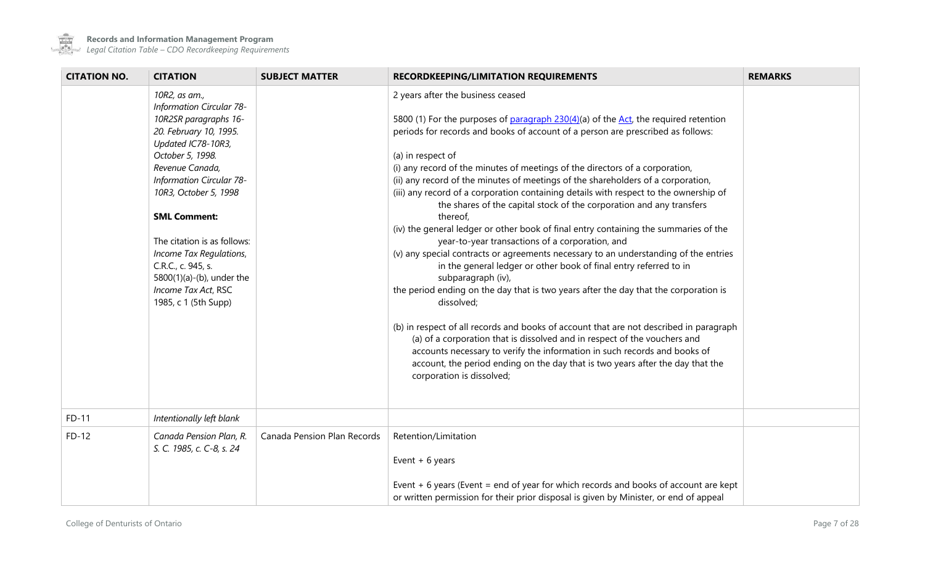

| <b>CITATION NO.</b> | <b>CITATION</b>                               | <b>SUBJECT MATTER</b>       | <b>RECORDKEEPING/LIMITATION REQUIREMENTS</b>                                                                                                                           | <b>REMARKS</b> |
|---------------------|-----------------------------------------------|-----------------------------|------------------------------------------------------------------------------------------------------------------------------------------------------------------------|----------------|
|                     | 10R2, as am.,                                 |                             | 2 years after the business ceased                                                                                                                                      |                |
|                     | <b>Information Circular 78-</b>               |                             |                                                                                                                                                                        |                |
|                     | 10R2SR paragraphs 16-                         |                             | 5800 (1) For the purposes of paragraph 230(4)(a) of the Act, the required retention<br>periods for records and books of account of a person are prescribed as follows: |                |
|                     | 20. February 10, 1995.<br>Updated IC78-10R3,  |                             |                                                                                                                                                                        |                |
|                     | October 5, 1998.                              |                             | (a) in respect of                                                                                                                                                      |                |
|                     | Revenue Canada,                               |                             | (i) any record of the minutes of meetings of the directors of a corporation,                                                                                           |                |
|                     | Information Circular 78-                      |                             | (ii) any record of the minutes of meetings of the shareholders of a corporation,                                                                                       |                |
|                     | 10R3, October 5, 1998                         |                             | (iii) any record of a corporation containing details with respect to the ownership of                                                                                  |                |
|                     |                                               |                             | the shares of the capital stock of the corporation and any transfers                                                                                                   |                |
|                     | <b>SML Comment:</b>                           |                             | thereof,                                                                                                                                                               |                |
|                     |                                               |                             | (iv) the general ledger or other book of final entry containing the summaries of the                                                                                   |                |
|                     | The citation is as follows:                   |                             | year-to-year transactions of a corporation, and                                                                                                                        |                |
|                     | Income Tax Regulations,<br>C.R.C., c. 945, s. |                             | (v) any special contracts or agreements necessary to an understanding of the entries<br>in the general ledger or other book of final entry referred to in              |                |
|                     | 5800(1)(a)-(b), under the                     |                             | subparagraph (iv),                                                                                                                                                     |                |
|                     | Income Tax Act, RSC                           |                             | the period ending on the day that is two years after the day that the corporation is                                                                                   |                |
|                     | 1985, c 1 (5th Supp)                          |                             | dissolved;                                                                                                                                                             |                |
|                     |                                               |                             |                                                                                                                                                                        |                |
|                     |                                               |                             | (b) in respect of all records and books of account that are not described in paragraph                                                                                 |                |
|                     |                                               |                             | (a) of a corporation that is dissolved and in respect of the vouchers and                                                                                              |                |
|                     |                                               |                             | accounts necessary to verify the information in such records and books of                                                                                              |                |
|                     |                                               |                             | account, the period ending on the day that is two years after the day that the                                                                                         |                |
|                     |                                               |                             | corporation is dissolved;                                                                                                                                              |                |
|                     |                                               |                             |                                                                                                                                                                        |                |
| FD-11               | Intentionally left blank                      |                             |                                                                                                                                                                        |                |
| $FD-12$             | Canada Pension Plan, R.                       | Canada Pension Plan Records | Retention/Limitation                                                                                                                                                   |                |
|                     | S. C. 1985, c. C-8, s. 24                     |                             |                                                                                                                                                                        |                |
|                     |                                               |                             | Event $+6$ years                                                                                                                                                       |                |
|                     |                                               |                             |                                                                                                                                                                        |                |
|                     |                                               |                             | Event $+ 6$ years (Event = end of year for which records and books of account are kept                                                                                 |                |
|                     |                                               |                             | or written permission for their prior disposal is given by Minister, or end of appeal                                                                                  |                |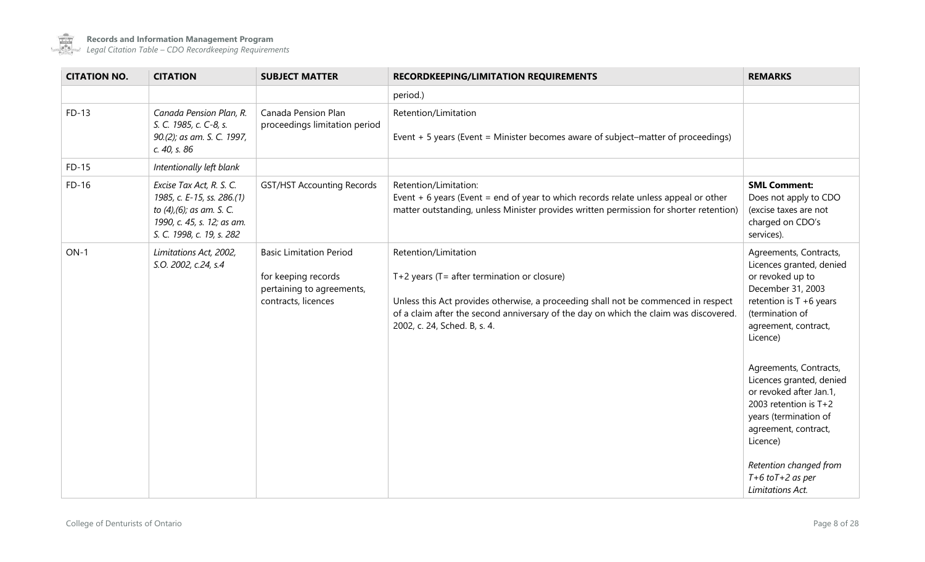

| <b>CITATION NO.</b> | <b>CITATION</b>                                                                                                                                | <b>SUBJECT MATTER</b>                                                                                     | <b>RECORDKEEPING/LIMITATION REQUIREMENTS</b>                                                                                                                                                                                                                                            | <b>REMARKS</b>                                                                                                                                                                   |
|---------------------|------------------------------------------------------------------------------------------------------------------------------------------------|-----------------------------------------------------------------------------------------------------------|-----------------------------------------------------------------------------------------------------------------------------------------------------------------------------------------------------------------------------------------------------------------------------------------|----------------------------------------------------------------------------------------------------------------------------------------------------------------------------------|
|                     |                                                                                                                                                |                                                                                                           | period.)                                                                                                                                                                                                                                                                                |                                                                                                                                                                                  |
| $FD-13$             | Canada Pension Plan, R.<br>S. C. 1985, c. C-8, s.<br>90.(2); as am. S. C. 1997,<br>c. 40, s. 86                                                | Canada Pension Plan<br>proceedings limitation period                                                      | Retention/Limitation<br>Event $+5$ years (Event = Minister becomes aware of subject-matter of proceedings)                                                                                                                                                                              |                                                                                                                                                                                  |
| $FD-15$             | Intentionally left blank                                                                                                                       |                                                                                                           |                                                                                                                                                                                                                                                                                         |                                                                                                                                                                                  |
| $FD-16$             | Excise Tax Act, R. S. C.<br>1985, c. E-15, ss. 286.(1)<br>to (4), (6); as am. S. C.<br>1990, c. 45, s. 12; as am.<br>S. C. 1998, c. 19, s. 282 | GST/HST Accounting Records                                                                                | Retention/Limitation:<br>Event $+6$ years (Event = end of year to which records relate unless appeal or other<br>matter outstanding, unless Minister provides written permission for shorter retention)                                                                                 | <b>SML Comment:</b><br>Does not apply to CDO<br>(excise taxes are not<br>charged on CDO's<br>services).                                                                          |
| $ON-1$              | Limitations Act, 2002,<br>S.O. 2002, c.24, s.4                                                                                                 | <b>Basic Limitation Period</b><br>for keeping records<br>pertaining to agreements,<br>contracts, licences | Retention/Limitation<br>$T+2$ years ( $T=$ after termination or closure)<br>Unless this Act provides otherwise, a proceeding shall not be commenced in respect<br>of a claim after the second anniversary of the day on which the claim was discovered.<br>2002, c. 24, Sched. B, s. 4. | Agreements, Contracts,<br>Licences granted, denied<br>or revoked up to<br>December 31, 2003<br>retention is $T + 6$ years<br>(termination of<br>agreement, contract,<br>Licence) |
|                     |                                                                                                                                                |                                                                                                           |                                                                                                                                                                                                                                                                                         | Agreements, Contracts,<br>Licences granted, denied<br>or revoked after Jan.1,<br>2003 retention is T+2<br>years (termination of<br>agreement, contract,<br>Licence)              |
|                     |                                                                                                                                                |                                                                                                           |                                                                                                                                                                                                                                                                                         | Retention changed from<br>$T+6$ to $T+2$ as per<br>Limitations Act.                                                                                                              |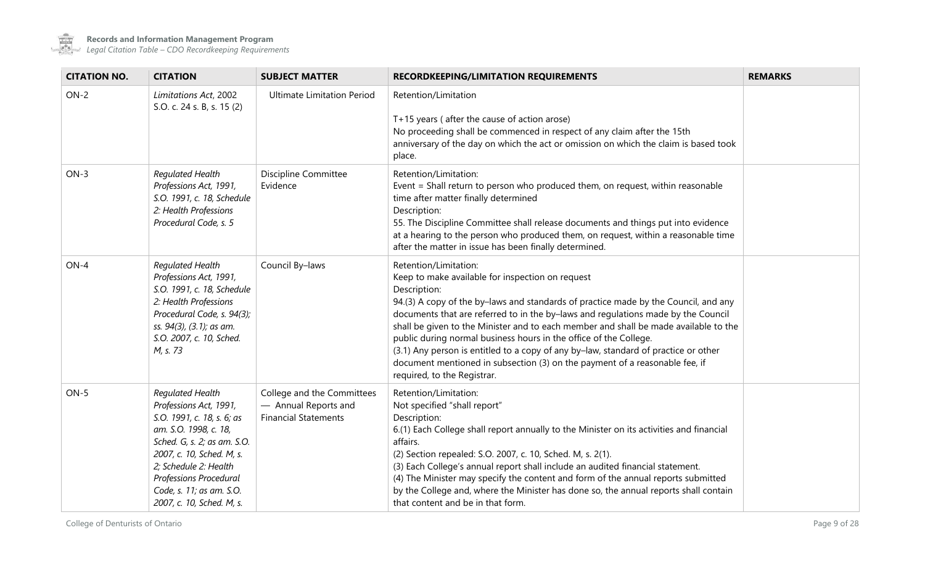

 $\sim$ 

| <b>CITATION NO.</b> | <b>CITATION</b>                                                                                                                                                                                                                                                           | <b>SUBJECT MATTER</b>                                                             | <b>RECORDKEEPING/LIMITATION REQUIREMENTS</b>                                                                                                                                                                                                                                                                                                                                                                                                                                                                                                                                                                                            | <b>REMARKS</b> |
|---------------------|---------------------------------------------------------------------------------------------------------------------------------------------------------------------------------------------------------------------------------------------------------------------------|-----------------------------------------------------------------------------------|-----------------------------------------------------------------------------------------------------------------------------------------------------------------------------------------------------------------------------------------------------------------------------------------------------------------------------------------------------------------------------------------------------------------------------------------------------------------------------------------------------------------------------------------------------------------------------------------------------------------------------------------|----------------|
| $ON-2$              | Limitations Act, 2002<br>S.O. c. 24 s. B, s. 15 (2)                                                                                                                                                                                                                       | <b>Ultimate Limitation Period</b>                                                 | Retention/Limitation<br>T+15 years (after the cause of action arose)<br>No proceeding shall be commenced in respect of any claim after the 15th<br>anniversary of the day on which the act or omission on which the claim is based took<br>place.                                                                                                                                                                                                                                                                                                                                                                                       |                |
| $ON-3$              | Regulated Health<br>Professions Act, 1991,<br>S.O. 1991, c. 18, Schedule<br>2: Health Professions<br>Procedural Code, s. 5                                                                                                                                                | Discipline Committee<br>Evidence                                                  | Retention/Limitation:<br>Event = Shall return to person who produced them, on request, within reasonable<br>time after matter finally determined<br>Description:<br>55. The Discipline Committee shall release documents and things put into evidence<br>at a hearing to the person who produced them, on request, within a reasonable time<br>after the matter in issue has been finally determined.                                                                                                                                                                                                                                   |                |
| $ON-4$              | Regulated Health<br>Professions Act, 1991,<br>S.O. 1991, c. 18, Schedule<br>2: Health Professions<br>Procedural Code, s. 94(3);<br>ss. 94(3), (3.1); as am.<br>S.O. 2007, c. 10, Sched.<br>M, s. 73                                                                       | Council By-laws                                                                   | Retention/Limitation:<br>Keep to make available for inspection on request<br>Description:<br>94.(3) A copy of the by-laws and standards of practice made by the Council, and any<br>documents that are referred to in the by-laws and regulations made by the Council<br>shall be given to the Minister and to each member and shall be made available to the<br>public during normal business hours in the office of the College.<br>(3.1) Any person is entitled to a copy of any by-law, standard of practice or other<br>document mentioned in subsection (3) on the payment of a reasonable fee, if<br>required, to the Registrar. |                |
| $ON-5$              | Regulated Health<br>Professions Act, 1991,<br>S.O. 1991, c. 18, s. 6; as<br>am. S.O. 1998, c. 18,<br>Sched. G, s. 2; as am. S.O.<br>2007, c. 10, Sched. M, s.<br>2; Schedule 2: Health<br>Professions Procedural<br>Code, s. 11; as am. S.O.<br>2007, c. 10, Sched. M, s. | College and the Committees<br>- Annual Reports and<br><b>Financial Statements</b> | Retention/Limitation:<br>Not specified "shall report"<br>Description:<br>6.(1) Each College shall report annually to the Minister on its activities and financial<br>affairs.<br>(2) Section repealed: S.O. 2007, c. 10, Sched. M, s. 2(1).<br>(3) Each College's annual report shall include an audited financial statement.<br>(4) The Minister may specify the content and form of the annual reports submitted<br>by the College and, where the Minister has done so, the annual reports shall contain<br>that content and be in that form.                                                                                         |                |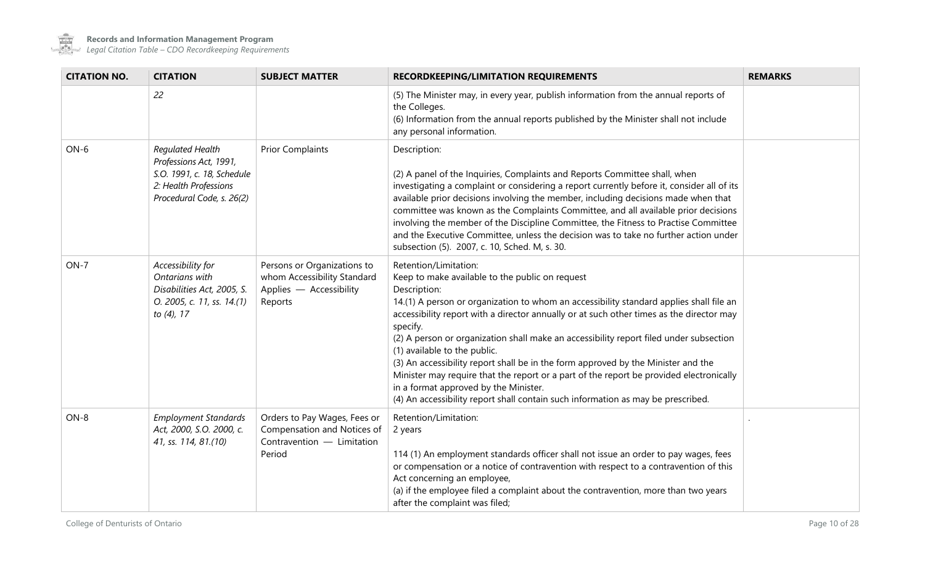

 $\sim$  100  $\mu$ 

| <b>CITATION NO.</b> | <b>CITATION</b>                                                                                                                | <b>SUBJECT MATTER</b>                                                                               | <b>RECORDKEEPING/LIMITATION REQUIREMENTS</b>                                                                                                                                                                                                                                                                                                                                                                                                                                                                                                                                                                                                                                                                                       | <b>REMARKS</b> |
|---------------------|--------------------------------------------------------------------------------------------------------------------------------|-----------------------------------------------------------------------------------------------------|------------------------------------------------------------------------------------------------------------------------------------------------------------------------------------------------------------------------------------------------------------------------------------------------------------------------------------------------------------------------------------------------------------------------------------------------------------------------------------------------------------------------------------------------------------------------------------------------------------------------------------------------------------------------------------------------------------------------------------|----------------|
|                     | 22                                                                                                                             |                                                                                                     | (5) The Minister may, in every year, publish information from the annual reports of<br>the Colleges.<br>(6) Information from the annual reports published by the Minister shall not include<br>any personal information.                                                                                                                                                                                                                                                                                                                                                                                                                                                                                                           |                |
| $ON-6$              | Regulated Health<br>Professions Act, 1991,<br>S.O. 1991, c. 18, Schedule<br>2: Health Professions<br>Procedural Code, s. 26(2) | <b>Prior Complaints</b>                                                                             | Description:<br>(2) A panel of the Inquiries, Complaints and Reports Committee shall, when<br>investigating a complaint or considering a report currently before it, consider all of its<br>available prior decisions involving the member, including decisions made when that<br>committee was known as the Complaints Committee, and all available prior decisions<br>involving the member of the Discipline Committee, the Fitness to Practise Committee<br>and the Executive Committee, unless the decision was to take no further action under<br>subsection (5). 2007, c. 10, Sched. M, s. 30.                                                                                                                               |                |
| $ON-7$              | Accessibility for<br>Ontarians with<br>Disabilities Act, 2005, S.<br>O. 2005, c. 11, ss. 14.(1)<br>to (4), 17                  | Persons or Organizations to<br>whom Accessibility Standard<br>Applies - Accessibility<br>Reports    | Retention/Limitation:<br>Keep to make available to the public on request<br>Description:<br>14.(1) A person or organization to whom an accessibility standard applies shall file an<br>accessibility report with a director annually or at such other times as the director may<br>specify.<br>(2) A person or organization shall make an accessibility report filed under subsection<br>(1) available to the public.<br>(3) An accessibility report shall be in the form approved by the Minister and the<br>Minister may require that the report or a part of the report be provided electronically<br>in a format approved by the Minister.<br>(4) An accessibility report shall contain such information as may be prescribed. |                |
| $ON-8$              | <b>Employment Standards</b><br>Act, 2000, S.O. 2000, c.<br>41, ss. 114, 81.(10)                                                | Orders to Pay Wages, Fees or<br>Compensation and Notices of<br>Contravention - Limitation<br>Period | Retention/Limitation:<br>2 years<br>114 (1) An employment standards officer shall not issue an order to pay wages, fees<br>or compensation or a notice of contravention with respect to a contravention of this<br>Act concerning an employee,<br>(a) if the employee filed a complaint about the contravention, more than two years<br>after the complaint was filed;                                                                                                                                                                                                                                                                                                                                                             |                |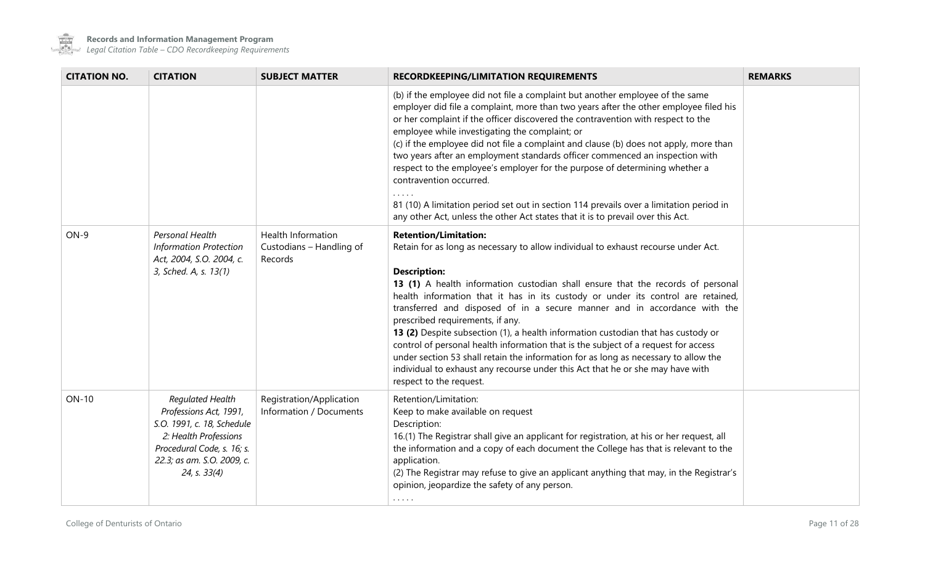

 $\sim$  100  $\mu$ 

**Records and Information Management Program**

| <b>CITATION NO.</b> | <b>CITATION</b>                                                                                                                                                                      | <b>SUBJECT MATTER</b>                                     | <b>RECORDKEEPING/LIMITATION REQUIREMENTS</b>                                                                                                                                                                                                                                                                                                                                                                                                                                                                                                                                                                                                                                                                                                                                                                     | <b>REMARKS</b> |
|---------------------|--------------------------------------------------------------------------------------------------------------------------------------------------------------------------------------|-----------------------------------------------------------|------------------------------------------------------------------------------------------------------------------------------------------------------------------------------------------------------------------------------------------------------------------------------------------------------------------------------------------------------------------------------------------------------------------------------------------------------------------------------------------------------------------------------------------------------------------------------------------------------------------------------------------------------------------------------------------------------------------------------------------------------------------------------------------------------------------|----------------|
|                     |                                                                                                                                                                                      |                                                           | (b) if the employee did not file a complaint but another employee of the same<br>employer did file a complaint, more than two years after the other employee filed his<br>or her complaint if the officer discovered the contravention with respect to the<br>employee while investigating the complaint; or<br>(c) if the employee did not file a complaint and clause (b) does not apply, more than<br>two years after an employment standards officer commenced an inspection with<br>respect to the employee's employer for the purpose of determining whether a<br>contravention occurred.<br>81 (10) A limitation period set out in section 114 prevails over a limitation period in<br>any other Act, unless the other Act states that it is to prevail over this Act.                                    |                |
| $ON-9$              | Personal Health<br><b>Information Protection</b><br>Act, 2004, S.O. 2004, c.<br>3, Sched. A, s. 13(1)                                                                                | Health Information<br>Custodians - Handling of<br>Records | <b>Retention/Limitation:</b><br>Retain for as long as necessary to allow individual to exhaust recourse under Act.<br><b>Description:</b><br>13 (1) A health information custodian shall ensure that the records of personal<br>health information that it has in its custody or under its control are retained,<br>transferred and disposed of in a secure manner and in accordance with the<br>prescribed requirements, if any.<br>13 (2) Despite subsection (1), a health information custodian that has custody or<br>control of personal health information that is the subject of a request for access<br>under section 53 shall retain the information for as long as necessary to allow the<br>individual to exhaust any recourse under this Act that he or she may have with<br>respect to the request. |                |
| <b>ON-10</b>        | <b>Requlated Health</b><br>Professions Act, 1991,<br>S.O. 1991, c. 18, Schedule<br>2: Health Professions<br>Procedural Code, s. 16; s.<br>22.3; as am. S.O. 2009, c.<br>24, s. 33(4) | Registration/Application<br>Information / Documents       | Retention/Limitation:<br>Keep to make available on request<br>Description:<br>16.(1) The Registrar shall give an applicant for registration, at his or her request, all<br>the information and a copy of each document the College has that is relevant to the<br>application.<br>(2) The Registrar may refuse to give an applicant anything that may, in the Registrar's<br>opinion, jeopardize the safety of any person.<br>$\cdots$                                                                                                                                                                                                                                                                                                                                                                           |                |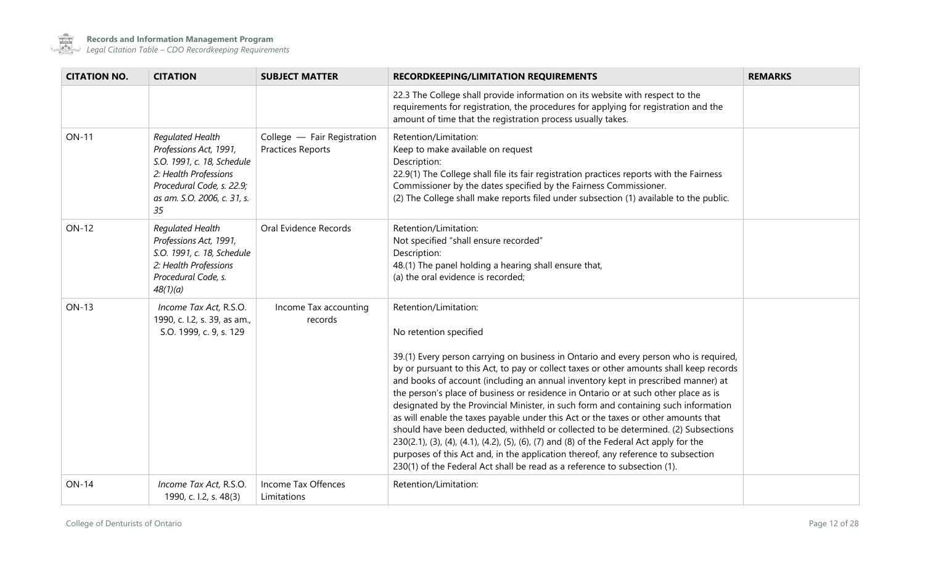

 $\sim$ 

| <b>CITATION NO.</b> | <b>CITATION</b>                                                                                                                                                     | <b>SUBJECT MATTER</b>                                   | <b>RECORDKEEPING/LIMITATION REQUIREMENTS</b>                                                                                                                                                                                                                                                                                                                                                                                                                                                                                                                                                                                                                                                                                                                                                                                                                                                                                                     | <b>REMARKS</b> |
|---------------------|---------------------------------------------------------------------------------------------------------------------------------------------------------------------|---------------------------------------------------------|--------------------------------------------------------------------------------------------------------------------------------------------------------------------------------------------------------------------------------------------------------------------------------------------------------------------------------------------------------------------------------------------------------------------------------------------------------------------------------------------------------------------------------------------------------------------------------------------------------------------------------------------------------------------------------------------------------------------------------------------------------------------------------------------------------------------------------------------------------------------------------------------------------------------------------------------------|----------------|
|                     |                                                                                                                                                                     |                                                         | 22.3 The College shall provide information on its website with respect to the<br>requirements for registration, the procedures for applying for registration and the<br>amount of time that the registration process usually takes.                                                                                                                                                                                                                                                                                                                                                                                                                                                                                                                                                                                                                                                                                                              |                |
| <b>ON-11</b>        | Regulated Health<br>Professions Act, 1991,<br>S.O. 1991, c. 18, Schedule<br>2: Health Professions<br>Procedural Code, s. 22.9;<br>as am. S.O. 2006, c. 31, s.<br>35 | College - Fair Registration<br><b>Practices Reports</b> | Retention/Limitation:<br>Keep to make available on request<br>Description:<br>22.9(1) The College shall file its fair registration practices reports with the Fairness<br>Commissioner by the dates specified by the Fairness Commissioner.<br>(2) The College shall make reports filed under subsection (1) available to the public.                                                                                                                                                                                                                                                                                                                                                                                                                                                                                                                                                                                                            |                |
| <b>ON-12</b>        | Regulated Health<br>Professions Act, 1991,<br>S.O. 1991, c. 18, Schedule<br>2: Health Professions<br>Procedural Code, s.<br>48(1)(a)                                | Oral Evidence Records                                   | Retention/Limitation:<br>Not specified "shall ensure recorded"<br>Description:<br>48.(1) The panel holding a hearing shall ensure that,<br>(a) the oral evidence is recorded;                                                                                                                                                                                                                                                                                                                                                                                                                                                                                                                                                                                                                                                                                                                                                                    |                |
| <b>ON-13</b>        | Income Tax Act, R.S.O.<br>1990, c. l.2, s. 39, as am.,<br>S.O. 1999, c. 9, s. 129                                                                                   | Income Tax accounting<br>records                        | Retention/Limitation:<br>No retention specified<br>39.(1) Every person carrying on business in Ontario and every person who is required,<br>by or pursuant to this Act, to pay or collect taxes or other amounts shall keep records<br>and books of account (including an annual inventory kept in prescribed manner) at<br>the person's place of business or residence in Ontario or at such other place as is<br>designated by the Provincial Minister, in such form and containing such information<br>as will enable the taxes payable under this Act or the taxes or other amounts that<br>should have been deducted, withheld or collected to be determined. (2) Subsections<br>230(2.1), (3), (4), (4.1), (4.2), (5), (6), (7) and (8) of the Federal Act apply for the<br>purposes of this Act and, in the application thereof, any reference to subsection<br>230(1) of the Federal Act shall be read as a reference to subsection (1). |                |
| <b>ON-14</b>        | Income Tax Act, R.S.O.<br>1990, c. l.2, s. 48(3)                                                                                                                    | Income Tax Offences<br>Limitations                      | Retention/Limitation:                                                                                                                                                                                                                                                                                                                                                                                                                                                                                                                                                                                                                                                                                                                                                                                                                                                                                                                            |                |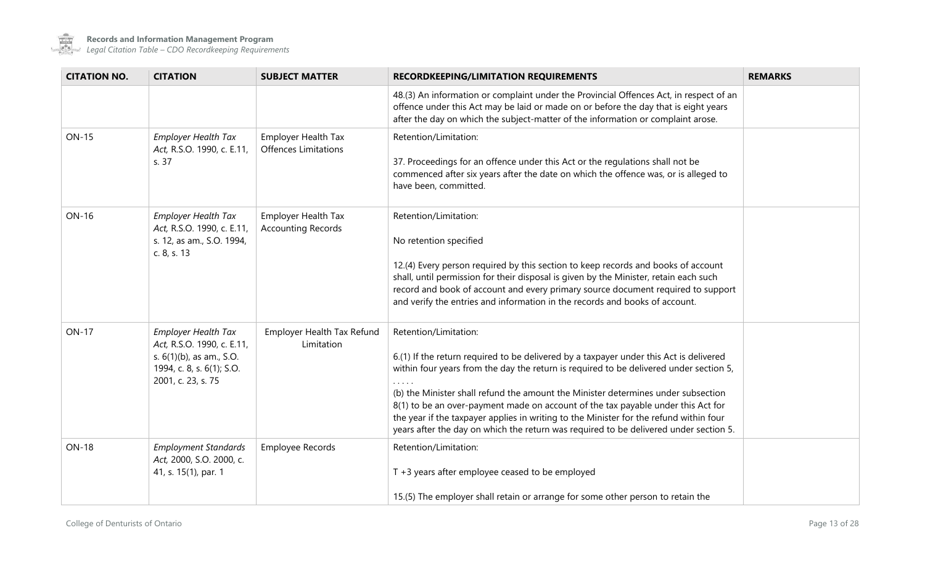

| <b>CITATION NO.</b> | <b>CITATION</b>                                                                                                                         | <b>SUBJECT MATTER</b>                                     | <b>RECORDKEEPING/LIMITATION REQUIREMENTS</b>                                                                                                                                                                                                                                                                                                                                                                                                                                                                                                                          | <b>REMARKS</b> |
|---------------------|-----------------------------------------------------------------------------------------------------------------------------------------|-----------------------------------------------------------|-----------------------------------------------------------------------------------------------------------------------------------------------------------------------------------------------------------------------------------------------------------------------------------------------------------------------------------------------------------------------------------------------------------------------------------------------------------------------------------------------------------------------------------------------------------------------|----------------|
|                     |                                                                                                                                         |                                                           | 48.(3) An information or complaint under the Provincial Offences Act, in respect of an<br>offence under this Act may be laid or made on or before the day that is eight years<br>after the day on which the subject-matter of the information or complaint arose.                                                                                                                                                                                                                                                                                                     |                |
| <b>ON-15</b>        | <b>Employer Health Tax</b><br>Act, R.S.O. 1990, c. E.11,<br>s. 37                                                                       | <b>Employer Health Tax</b><br><b>Offences Limitations</b> | Retention/Limitation:<br>37. Proceedings for an offence under this Act or the regulations shall not be<br>commenced after six years after the date on which the offence was, or is alleged to<br>have been, committed.                                                                                                                                                                                                                                                                                                                                                |                |
| <b>ON-16</b>        | <b>Employer Health Tax</b><br>Act, R.S.O. 1990, c. E.11,<br>s. 12, as am., S.O. 1994,<br>c. 8, s. 13                                    | Employer Health Tax<br><b>Accounting Records</b>          | Retention/Limitation:<br>No retention specified<br>12.(4) Every person required by this section to keep records and books of account<br>shall, until permission for their disposal is given by the Minister, retain each such<br>record and book of account and every primary source document required to support<br>and verify the entries and information in the records and books of account.                                                                                                                                                                      |                |
| <b>ON-17</b>        | <b>Employer Health Tax</b><br>Act, R.S.O. 1990, c. E.11,<br>s. 6(1)(b), as am., S.O.<br>1994, c. 8, s. 6(1); S.O.<br>2001, c. 23, s. 75 | Employer Health Tax Refund<br>Limitation                  | Retention/Limitation:<br>6.(1) If the return required to be delivered by a taxpayer under this Act is delivered<br>within four years from the day the return is required to be delivered under section 5,<br>(b) the Minister shall refund the amount the Minister determines under subsection<br>8(1) to be an over-payment made on account of the tax payable under this Act for<br>the year if the taxpayer applies in writing to the Minister for the refund within four<br>years after the day on which the return was required to be delivered under section 5. |                |
| <b>ON-18</b>        | <b>Employment Standards</b><br>Act, 2000, S.O. 2000, c.<br>41, s. 15(1), par. 1                                                         | Employee Records                                          | Retention/Limitation:<br>T +3 years after employee ceased to be employed<br>15.(5) The employer shall retain or arrange for some other person to retain the                                                                                                                                                                                                                                                                                                                                                                                                           |                |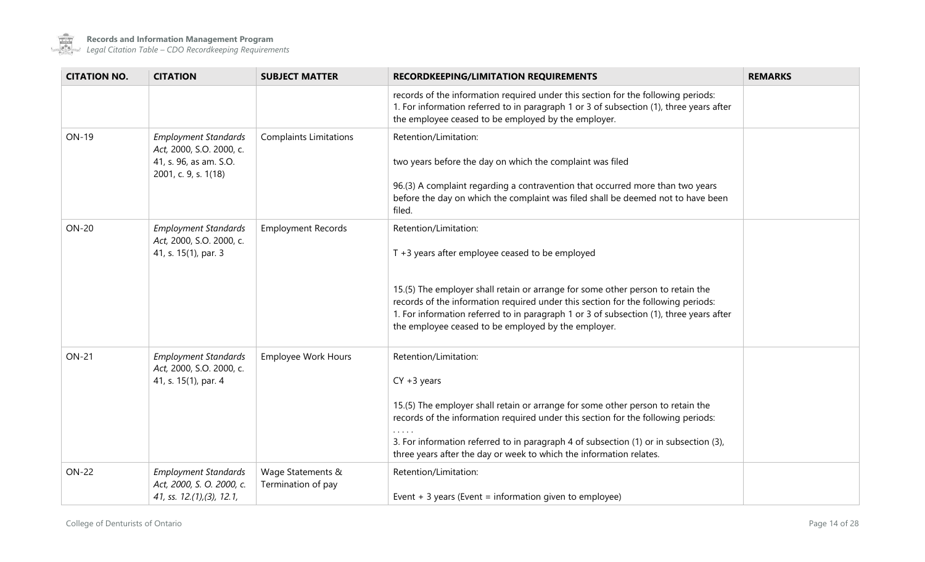

| <b>CITATION NO.</b> | <b>CITATION</b>                                                                                           | <b>SUBJECT MATTER</b>                   | <b>RECORDKEEPING/LIMITATION REQUIREMENTS</b>                                                                                                                                                                                                                                                                                                                                                          | <b>REMARKS</b> |
|---------------------|-----------------------------------------------------------------------------------------------------------|-----------------------------------------|-------------------------------------------------------------------------------------------------------------------------------------------------------------------------------------------------------------------------------------------------------------------------------------------------------------------------------------------------------------------------------------------------------|----------------|
|                     |                                                                                                           |                                         | records of the information required under this section for the following periods:<br>1. For information referred to in paragraph 1 or 3 of subsection (1), three years after<br>the employee ceased to be employed by the employer.                                                                                                                                                                   |                |
| ON-19               | <b>Employment Standards</b><br>Act, 2000, S.O. 2000, c.<br>41, s. 96, as am. S.O.<br>2001, c. 9, s. 1(18) | <b>Complaints Limitations</b>           | Retention/Limitation:<br>two years before the day on which the complaint was filed<br>96.(3) A complaint regarding a contravention that occurred more than two years<br>before the day on which the complaint was filed shall be deemed not to have been<br>filed.                                                                                                                                    |                |
| <b>ON-20</b>        | <b>Employment Standards</b><br>Act, 2000, S.O. 2000, c.<br>41, s. 15(1), par. 3                           | <b>Employment Records</b>               | Retention/Limitation:<br>$T + 3$ years after employee ceased to be employed<br>15.(5) The employer shall retain or arrange for some other person to retain the<br>records of the information required under this section for the following periods:<br>1. For information referred to in paragraph 1 or 3 of subsection (1), three years after<br>the employee ceased to be employed by the employer. |                |
| <b>ON-21</b>        | <b>Employment Standards</b><br>Act, 2000, S.O. 2000, c.<br>41, s. 15(1), par. 4                           | <b>Employee Work Hours</b>              | Retention/Limitation:<br>$CY + 3$ years<br>15.(5) The employer shall retain or arrange for some other person to retain the<br>records of the information required under this section for the following periods:<br>3. For information referred to in paragraph 4 of subsection (1) or in subsection (3),<br>three years after the day or week to which the information relates.                       |                |
| <b>ON-22</b>        | <b>Employment Standards</b><br>Act, 2000, S. O. 2000, c.<br>41, ss. $12.(1),(3), 12.1,$                   | Wage Statements &<br>Termination of pay | Retention/Limitation:<br>Event $+3$ years (Event = information given to employee)                                                                                                                                                                                                                                                                                                                     |                |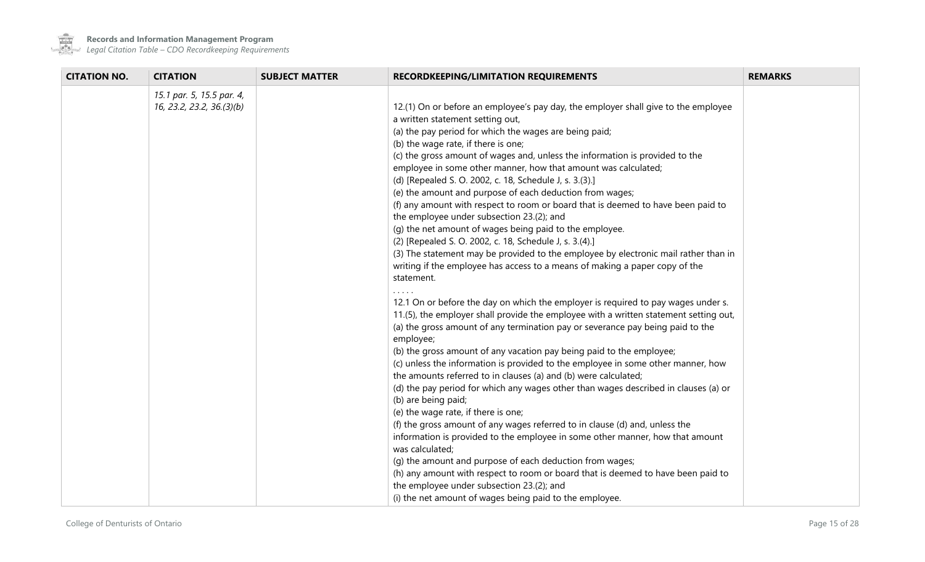

| <b>CITATION NO.</b> | <b>CITATION</b>                                        | <b>SUBJECT MATTER</b> | RECORDKEEPING/LIMITATION REQUIREMENTS                                                                                                                                                                                                                                                                                                                                                                                                                                                                                                                                                                                                                                                                                                                                                                                                                                                                                                                                                                                                                                                                                                                                                                                                                                                                                                                                                                                                                                                                                                                                                                                                                                                                                                                                                                                                                                                                                                                                                                                                                   | <b>REMARKS</b> |
|---------------------|--------------------------------------------------------|-----------------------|---------------------------------------------------------------------------------------------------------------------------------------------------------------------------------------------------------------------------------------------------------------------------------------------------------------------------------------------------------------------------------------------------------------------------------------------------------------------------------------------------------------------------------------------------------------------------------------------------------------------------------------------------------------------------------------------------------------------------------------------------------------------------------------------------------------------------------------------------------------------------------------------------------------------------------------------------------------------------------------------------------------------------------------------------------------------------------------------------------------------------------------------------------------------------------------------------------------------------------------------------------------------------------------------------------------------------------------------------------------------------------------------------------------------------------------------------------------------------------------------------------------------------------------------------------------------------------------------------------------------------------------------------------------------------------------------------------------------------------------------------------------------------------------------------------------------------------------------------------------------------------------------------------------------------------------------------------------------------------------------------------------------------------------------------------|----------------|
|                     | 15.1 par. 5, 15.5 par. 4,<br>16, 23.2, 23.2, 36.(3)(b) |                       | 12.(1) On or before an employee's pay day, the employer shall give to the employee<br>a written statement setting out,<br>(a) the pay period for which the wages are being paid;<br>(b) the wage rate, if there is one;<br>(c) the gross amount of wages and, unless the information is provided to the<br>employee in some other manner, how that amount was calculated;<br>(d) [Repealed S. O. 2002, c. 18, Schedule J, s. 3.(3).]<br>(e) the amount and purpose of each deduction from wages;<br>(f) any amount with respect to room or board that is deemed to have been paid to<br>the employee under subsection 23.(2); and<br>(g) the net amount of wages being paid to the employee.<br>(2) [Repealed S. O. 2002, c. 18, Schedule J, s. 3.(4).]<br>(3) The statement may be provided to the employee by electronic mail rather than in<br>writing if the employee has access to a means of making a paper copy of the<br>statement.<br>12.1 On or before the day on which the employer is required to pay wages under s.<br>11.(5), the employer shall provide the employee with a written statement setting out,<br>(a) the gross amount of any termination pay or severance pay being paid to the<br>employee;<br>(b) the gross amount of any vacation pay being paid to the employee;<br>(c) unless the information is provided to the employee in some other manner, how<br>the amounts referred to in clauses (a) and (b) were calculated;<br>(d) the pay period for which any wages other than wages described in clauses (a) or<br>(b) are being paid;<br>(e) the wage rate, if there is one;<br>(f) the gross amount of any wages referred to in clause (d) and, unless the<br>information is provided to the employee in some other manner, how that amount<br>was calculated;<br>(g) the amount and purpose of each deduction from wages;<br>(h) any amount with respect to room or board that is deemed to have been paid to<br>the employee under subsection 23.(2); and<br>(i) the net amount of wages being paid to the employee. |                |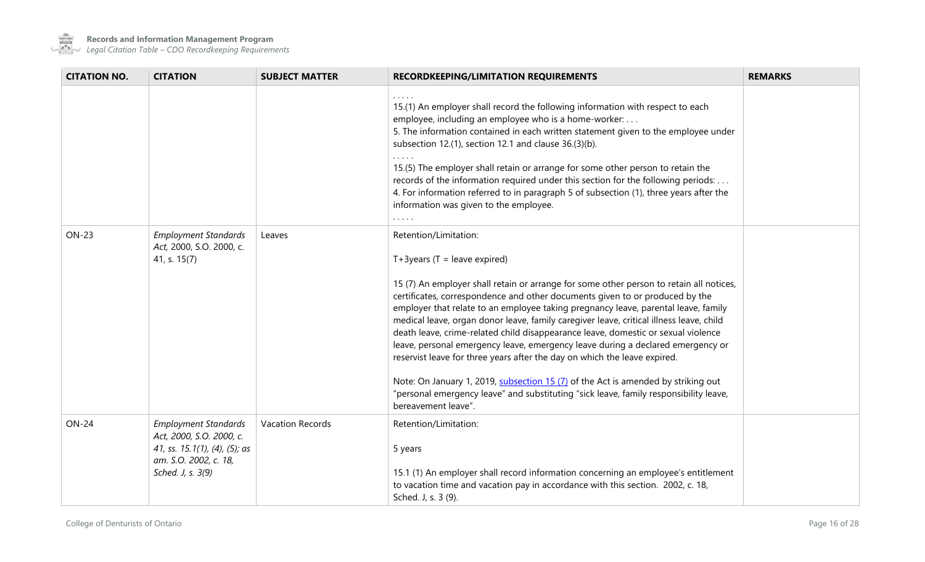

 $\sim$  100  $\mu$ 

**Records and Information Management Program**

| <b>CITATION NO.</b> | <b>CITATION</b>                                                                                                                        | <b>SUBJECT MATTER</b> | <b>RECORDKEEPING/LIMITATION REQUIREMENTS</b>                                                                                                                                                                                                                                                                                                                                                                                                                                                                                                                                                                                                                                                                                                                                                                                                                                   | <b>REMARKS</b> |
|---------------------|----------------------------------------------------------------------------------------------------------------------------------------|-----------------------|--------------------------------------------------------------------------------------------------------------------------------------------------------------------------------------------------------------------------------------------------------------------------------------------------------------------------------------------------------------------------------------------------------------------------------------------------------------------------------------------------------------------------------------------------------------------------------------------------------------------------------------------------------------------------------------------------------------------------------------------------------------------------------------------------------------------------------------------------------------------------------|----------------|
|                     |                                                                                                                                        |                       | 15.(1) An employer shall record the following information with respect to each<br>employee, including an employee who is a home-worker:<br>5. The information contained in each written statement given to the employee under<br>subsection 12.(1), section 12.1 and clause 36.(3)(b).<br>15.(5) The employer shall retain or arrange for some other person to retain the<br>records of the information required under this section for the following periods:<br>4. For information referred to in paragraph 5 of subsection (1), three years after the<br>information was given to the employee.<br>.                                                                                                                                                                                                                                                                        |                |
| <b>ON-23</b>        | <b>Employment Standards</b><br>Act, 2000, S.O. 2000, c.<br>41, s. 15(7)                                                                | Leaves                | Retention/Limitation:<br>$T+3$ years (T = leave expired)<br>15 (7) An employer shall retain or arrange for some other person to retain all notices,<br>certificates, correspondence and other documents given to or produced by the<br>employer that relate to an employee taking pregnancy leave, parental leave, family<br>medical leave, organ donor leave, family caregiver leave, critical illness leave, child<br>death leave, crime-related child disappearance leave, domestic or sexual violence<br>leave, personal emergency leave, emergency leave during a declared emergency or<br>reservist leave for three years after the day on which the leave expired.<br>Note: On January 1, 2019, subsection 15 (7) of the Act is amended by striking out<br>"personal emergency leave" and substituting "sick leave, family responsibility leave,<br>bereavement leave". |                |
| <b>ON-24</b>        | <b>Employment Standards</b><br>Act, 2000, S.O. 2000, c.<br>41, ss. 15.1(1), (4), (5); as<br>am. S.O. 2002, c. 18,<br>Sched. J, s. 3(9) | Vacation Records      | Retention/Limitation:<br>5 years<br>15.1 (1) An employer shall record information concerning an employee's entitlement<br>to vacation time and vacation pay in accordance with this section. 2002, c. 18,<br>Sched. J, s. 3 (9).                                                                                                                                                                                                                                                                                                                                                                                                                                                                                                                                                                                                                                               |                |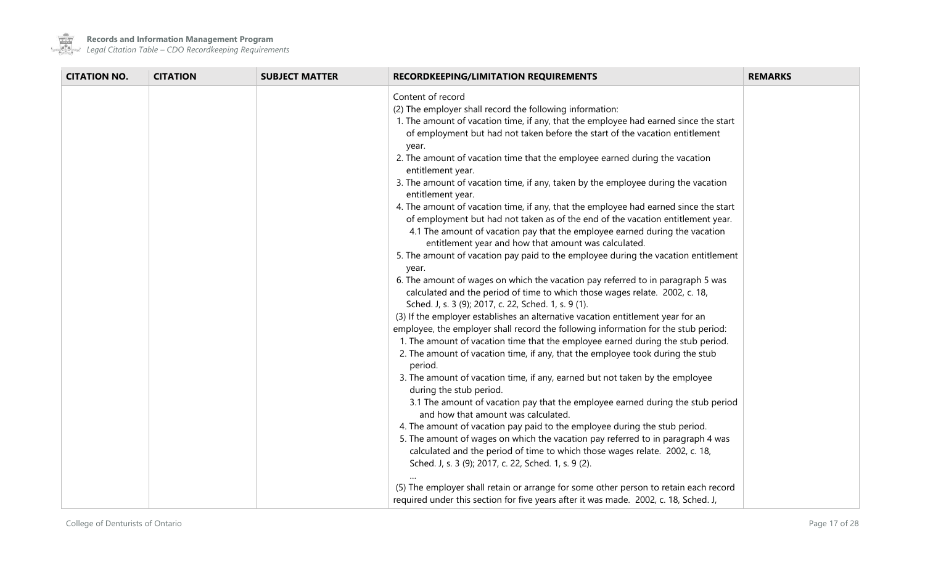

**Contract** 

**Records and Information Management Program**

| Content of record<br>(2) The employer shall record the following information:<br>1. The amount of vacation time, if any, that the employee had earned since the start<br>of employment but had not taken before the start of the vacation entitlement<br>year.<br>2. The amount of vacation time that the employee earned during the vacation<br>entitlement year.<br>3. The amount of vacation time, if any, taken by the employee during the vacation<br>entitlement year.<br>4. The amount of vacation time, if any, that the employee had earned since the start<br>of employment but had not taken as of the end of the vacation entitlement year.<br>4.1 The amount of vacation pay that the employee earned during the vacation<br>entitlement year and how that amount was calculated.<br>5. The amount of vacation pay paid to the employee during the vacation entitlement<br>year.<br>6. The amount of wages on which the vacation pay referred to in paragraph 5 was<br>calculated and the period of time to which those wages relate. 2002, c. 18,<br>Sched. J, s. 3 (9); 2017, c. 22, Sched. 1, s. 9 (1).<br>(3) If the employer establishes an alternative vacation entitlement year for an<br>employee, the employer shall record the following information for the stub period:<br>1. The amount of vacation time that the employee earned during the stub period.<br>2. The amount of vacation time, if any, that the employee took during the stub<br>period.<br>3. The amount of vacation time, if any, earned but not taken by the employee<br>during the stub period.<br>3.1 The amount of vacation pay that the employee earned during the stub period<br>and how that amount was calculated.<br>4. The amount of vacation pay paid to the employee during the stub period. | <b>CITATION NO.</b><br><b>CITATION</b> | <b>SUBJECT MATTER</b> | <b>RECORDKEEPING/LIMITATION REQUIREMENTS</b>                                    | <b>REMARKS</b> |
|----------------------------------------------------------------------------------------------------------------------------------------------------------------------------------------------------------------------------------------------------------------------------------------------------------------------------------------------------------------------------------------------------------------------------------------------------------------------------------------------------------------------------------------------------------------------------------------------------------------------------------------------------------------------------------------------------------------------------------------------------------------------------------------------------------------------------------------------------------------------------------------------------------------------------------------------------------------------------------------------------------------------------------------------------------------------------------------------------------------------------------------------------------------------------------------------------------------------------------------------------------------------------------------------------------------------------------------------------------------------------------------------------------------------------------------------------------------------------------------------------------------------------------------------------------------------------------------------------------------------------------------------------------------------------------------------------------------------------------------------------------------------------------------------------|----------------------------------------|-----------------------|---------------------------------------------------------------------------------|----------------|
| calculated and the period of time to which those wages relate. 2002, c. 18,<br>Sched. J, s. 3 (9); 2017, c. 22, Sched. 1, s. 9 (2).<br>(5) The employer shall retain or arrange for some other person to retain each record<br>required under this section for five years after it was made. 2002, c. 18, Sched. J,                                                                                                                                                                                                                                                                                                                                                                                                                                                                                                                                                                                                                                                                                                                                                                                                                                                                                                                                                                                                                                                                                                                                                                                                                                                                                                                                                                                                                                                                                |                                        |                       | 5. The amount of wages on which the vacation pay referred to in paragraph 4 was |                |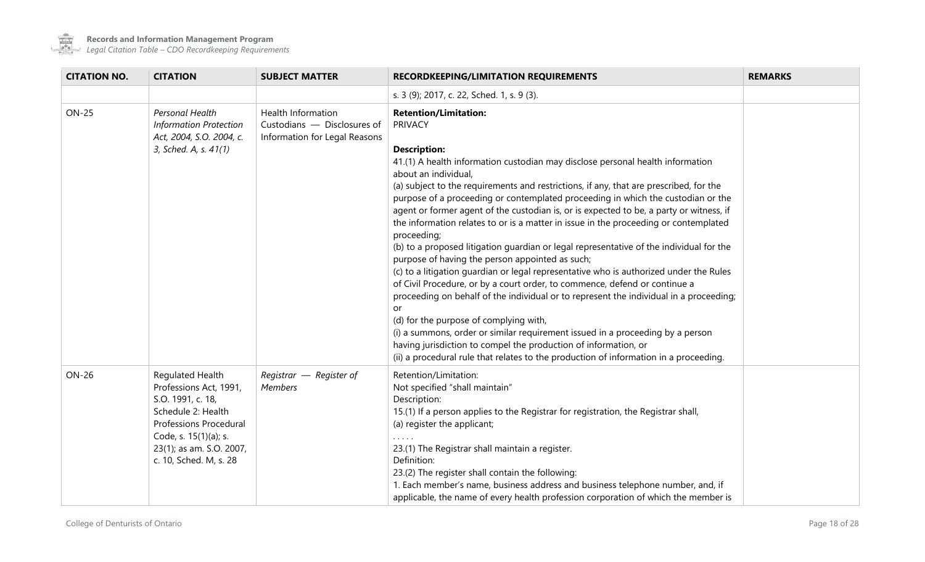

 $\sim$ 

**Records and Information Management Program**

| <b>CITATION NO.</b> | <b>CITATION</b>                                                                                                                                                                                       | <b>SUBJECT MATTER</b>                                                                     | <b>RECORDKEEPING/LIMITATION REQUIREMENTS</b>                                                                                                                                                                                                                                                                                                                                                                                                                                                                                                                                                                                                                                                                                                                                                                                                                                                                                                                                                                                                                                                                                                                                                                                                                                  | <b>REMARKS</b> |
|---------------------|-------------------------------------------------------------------------------------------------------------------------------------------------------------------------------------------------------|-------------------------------------------------------------------------------------------|-------------------------------------------------------------------------------------------------------------------------------------------------------------------------------------------------------------------------------------------------------------------------------------------------------------------------------------------------------------------------------------------------------------------------------------------------------------------------------------------------------------------------------------------------------------------------------------------------------------------------------------------------------------------------------------------------------------------------------------------------------------------------------------------------------------------------------------------------------------------------------------------------------------------------------------------------------------------------------------------------------------------------------------------------------------------------------------------------------------------------------------------------------------------------------------------------------------------------------------------------------------------------------|----------------|
|                     |                                                                                                                                                                                                       |                                                                                           | s. 3 (9); 2017, c. 22, Sched. 1, s. 9 (3).                                                                                                                                                                                                                                                                                                                                                                                                                                                                                                                                                                                                                                                                                                                                                                                                                                                                                                                                                                                                                                                                                                                                                                                                                                    |                |
| <b>ON-25</b>        | Personal Health<br><b>Information Protection</b><br>Act, 2004, S.O. 2004, c.<br>3, Sched. A, s. 41(1)                                                                                                 | <b>Health Information</b><br>Custodians - Disclosures of<br>Information for Legal Reasons | <b>Retention/Limitation:</b><br><b>PRIVACY</b><br><b>Description:</b><br>41.(1) A health information custodian may disclose personal health information<br>about an individual,<br>(a) subject to the requirements and restrictions, if any, that are prescribed, for the<br>purpose of a proceeding or contemplated proceeding in which the custodian or the<br>agent or former agent of the custodian is, or is expected to be, a party or witness, if<br>the information relates to or is a matter in issue in the proceeding or contemplated<br>proceeding;<br>(b) to a proposed litigation guardian or legal representative of the individual for the<br>purpose of having the person appointed as such;<br>(c) to a litigation guardian or legal representative who is authorized under the Rules<br>of Civil Procedure, or by a court order, to commence, defend or continue a<br>proceeding on behalf of the individual or to represent the individual in a proceeding;<br>or<br>(d) for the purpose of complying with,<br>(i) a summons, order or similar requirement issued in a proceeding by a person<br>having jurisdiction to compel the production of information, or<br>(ii) a procedural rule that relates to the production of information in a proceeding. |                |
| <b>ON-26</b>        | Regulated Health<br>Professions Act, 1991,<br>S.O. 1991, c. 18,<br>Schedule 2: Health<br><b>Professions Procedural</b><br>Code, s. 15(1)(a); s.<br>23(1); as am. S.O. 2007,<br>c. 10, Sched. M, s. 28 | Registrar $-$ Register of<br><b>Members</b>                                               | Retention/Limitation:<br>Not specified "shall maintain"<br>Description:<br>15.(1) If a person applies to the Registrar for registration, the Registrar shall,<br>(a) register the applicant;<br>23.(1) The Registrar shall maintain a register.<br>Definition:<br>23.(2) The register shall contain the following:<br>1. Each member's name, business address and business telephone number, and, if<br>applicable, the name of every health profession corporation of which the member is                                                                                                                                                                                                                                                                                                                                                                                                                                                                                                                                                                                                                                                                                                                                                                                    |                |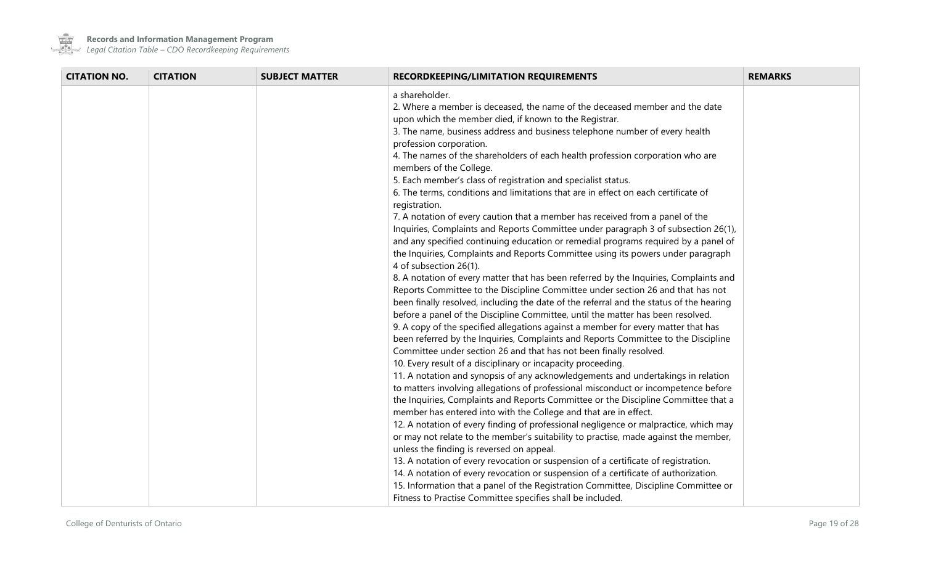

**Contract** 

**Records and Information Management Program**

| <b>CITATION NO.</b> | <b>CITATION</b> | <b>SUBJECT MATTER</b> | <b>RECORDKEEPING/LIMITATION REQUIREMENTS</b>                                                                                                                                                                                                                                                                                                                                                                                                                                                                                                                                                                                                                                                                                                                                                                                                                                                                                                                                                                                                                                                                                                                                                                                                                                                                                                                                                                                                                                                                                                                                                                                                                                                                                                                                                                                                                                                                                                                                                                                                                                                                                                                                                                                                                                                                                                                                                                                                                                                                   | <b>REMARKS</b> |
|---------------------|-----------------|-----------------------|----------------------------------------------------------------------------------------------------------------------------------------------------------------------------------------------------------------------------------------------------------------------------------------------------------------------------------------------------------------------------------------------------------------------------------------------------------------------------------------------------------------------------------------------------------------------------------------------------------------------------------------------------------------------------------------------------------------------------------------------------------------------------------------------------------------------------------------------------------------------------------------------------------------------------------------------------------------------------------------------------------------------------------------------------------------------------------------------------------------------------------------------------------------------------------------------------------------------------------------------------------------------------------------------------------------------------------------------------------------------------------------------------------------------------------------------------------------------------------------------------------------------------------------------------------------------------------------------------------------------------------------------------------------------------------------------------------------------------------------------------------------------------------------------------------------------------------------------------------------------------------------------------------------------------------------------------------------------------------------------------------------------------------------------------------------------------------------------------------------------------------------------------------------------------------------------------------------------------------------------------------------------------------------------------------------------------------------------------------------------------------------------------------------------------------------------------------------------------------------------------------------|----------------|
|                     |                 |                       | a shareholder.<br>2. Where a member is deceased, the name of the deceased member and the date<br>upon which the member died, if known to the Registrar.<br>3. The name, business address and business telephone number of every health<br>profession corporation.<br>4. The names of the shareholders of each health profession corporation who are<br>members of the College.<br>5. Each member's class of registration and specialist status.<br>6. The terms, conditions and limitations that are in effect on each certificate of<br>registration.<br>7. A notation of every caution that a member has received from a panel of the<br>Inquiries, Complaints and Reports Committee under paragraph 3 of subsection 26(1),<br>and any specified continuing education or remedial programs required by a panel of<br>the Inquiries, Complaints and Reports Committee using its powers under paragraph<br>4 of subsection 26(1).<br>8. A notation of every matter that has been referred by the Inquiries, Complaints and<br>Reports Committee to the Discipline Committee under section 26 and that has not<br>been finally resolved, including the date of the referral and the status of the hearing<br>before a panel of the Discipline Committee, until the matter has been resolved.<br>9. A copy of the specified allegations against a member for every matter that has<br>been referred by the Inquiries, Complaints and Reports Committee to the Discipline<br>Committee under section 26 and that has not been finally resolved.<br>10. Every result of a disciplinary or incapacity proceeding.<br>11. A notation and synopsis of any acknowledgements and undertakings in relation<br>to matters involving allegations of professional misconduct or incompetence before<br>the Inquiries, Complaints and Reports Committee or the Discipline Committee that a<br>member has entered into with the College and that are in effect.<br>12. A notation of every finding of professional negligence or malpractice, which may<br>or may not relate to the member's suitability to practise, made against the member,<br>unless the finding is reversed on appeal.<br>13. A notation of every revocation or suspension of a certificate of registration.<br>14. A notation of every revocation or suspension of a certificate of authorization.<br>15. Information that a panel of the Registration Committee, Discipline Committee or<br>Fitness to Practise Committee specifies shall be included. |                |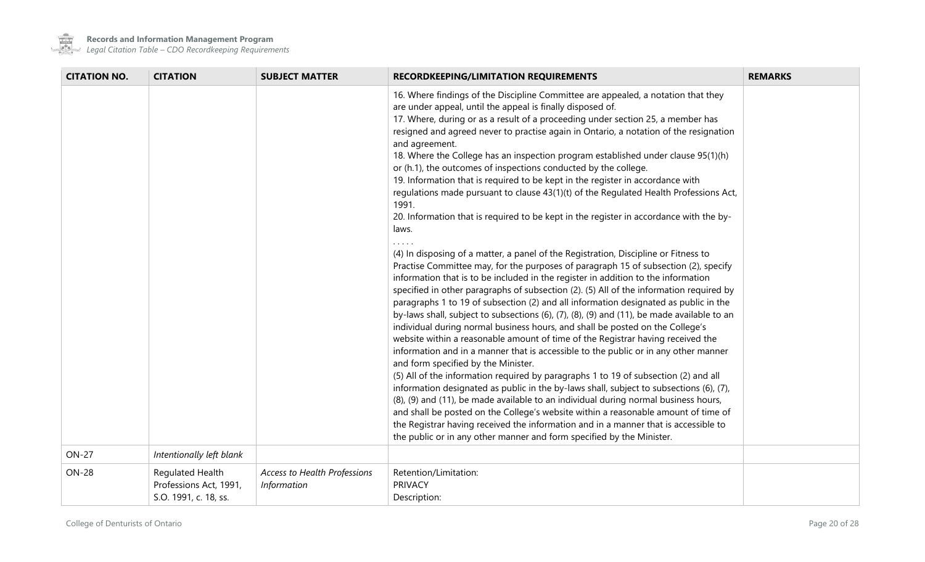

| <b>CITATION NO.</b> | <b>CITATION</b>                                                     | <b>SUBJECT MATTER</b>                              | RECORDKEEPING/LIMITATION REQUIREMENTS                                                                                                                                                                                                                                                                                                                                                                                                                                                                                                                                                                                                                                                                                                                                                                                                                                                                                                                                                                                                                                                                                                                                                                                                                                                                                                                                             | <b>REMARKS</b> |
|---------------------|---------------------------------------------------------------------|----------------------------------------------------|-----------------------------------------------------------------------------------------------------------------------------------------------------------------------------------------------------------------------------------------------------------------------------------------------------------------------------------------------------------------------------------------------------------------------------------------------------------------------------------------------------------------------------------------------------------------------------------------------------------------------------------------------------------------------------------------------------------------------------------------------------------------------------------------------------------------------------------------------------------------------------------------------------------------------------------------------------------------------------------------------------------------------------------------------------------------------------------------------------------------------------------------------------------------------------------------------------------------------------------------------------------------------------------------------------------------------------------------------------------------------------------|----------------|
|                     |                                                                     |                                                    | 16. Where findings of the Discipline Committee are appealed, a notation that they<br>are under appeal, until the appeal is finally disposed of.<br>17. Where, during or as a result of a proceeding under section 25, a member has<br>resigned and agreed never to practise again in Ontario, a notation of the resignation<br>and agreement.<br>18. Where the College has an inspection program established under clause 95(1)(h)<br>or (h.1), the outcomes of inspections conducted by the college.<br>19. Information that is required to be kept in the register in accordance with<br>regulations made pursuant to clause 43(1)(t) of the Regulated Health Professions Act,<br>1991.<br>20. Information that is required to be kept in the register in accordance with the by-<br>laws.                                                                                                                                                                                                                                                                                                                                                                                                                                                                                                                                                                                      |                |
|                     |                                                                     |                                                    | (4) In disposing of a matter, a panel of the Registration, Discipline or Fitness to<br>Practise Committee may, for the purposes of paragraph 15 of subsection (2), specify<br>information that is to be included in the register in addition to the information<br>specified in other paragraphs of subsection (2). (5) All of the information required by<br>paragraphs 1 to 19 of subsection (2) and all information designated as public in the<br>by-laws shall, subject to subsections (6), (7), (8), (9) and (11), be made available to an<br>individual during normal business hours, and shall be posted on the College's<br>website within a reasonable amount of time of the Registrar having received the<br>information and in a manner that is accessible to the public or in any other manner<br>and form specified by the Minister.<br>(5) All of the information required by paragraphs 1 to 19 of subsection (2) and all<br>information designated as public in the by-laws shall, subject to subsections (6), (7),<br>(8), (9) and (11), be made available to an individual during normal business hours,<br>and shall be posted on the College's website within a reasonable amount of time of<br>the Registrar having received the information and in a manner that is accessible to<br>the public or in any other manner and form specified by the Minister. |                |
| <b>ON-27</b>        | Intentionally left blank                                            |                                                    |                                                                                                                                                                                                                                                                                                                                                                                                                                                                                                                                                                                                                                                                                                                                                                                                                                                                                                                                                                                                                                                                                                                                                                                                                                                                                                                                                                                   |                |
| <b>ON-28</b>        | Regulated Health<br>Professions Act, 1991,<br>S.O. 1991, c. 18, ss. | Access to Health Professions<br><b>Information</b> | Retention/Limitation:<br><b>PRIVACY</b><br>Description:                                                                                                                                                                                                                                                                                                                                                                                                                                                                                                                                                                                                                                                                                                                                                                                                                                                                                                                                                                                                                                                                                                                                                                                                                                                                                                                           |                |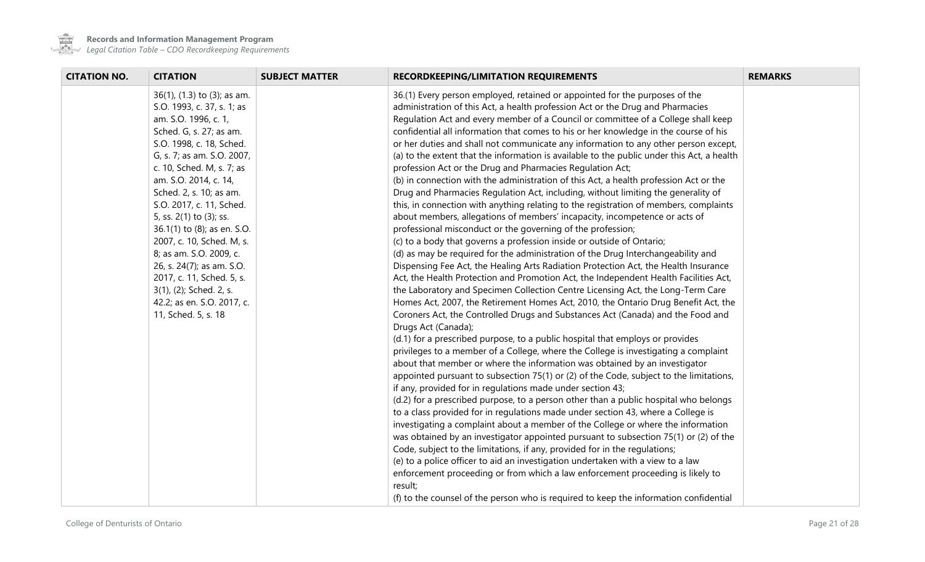

 $\mathcal{L}^{\text{max}}$ 

**Records and Information Management Program**

| <b>CITATION NO.</b> | <b>CITATION</b>                                                                                                                                                                                                                                                                                                                                                                                                                                                                                                                                 | <b>SUBJECT MATTER</b> | <b>RECORDKEEPING/LIMITATION REQUIREMENTS</b>                                                                                                                                                                                                                                                                                                                                                                                                                                                                                                                                                                                                                                                                                                                                                                                                                                                                                                                                                                                                                                                                                                                                                                                                                                                                                                                                                                                                                                                                                                                                                                                                                                                                                                                                                                                                                                                                                                                                                                                                                                                                                                                                                                                                                                                                                                                                                                                                                                                                                                                                                                                                                                                                                                                                 | <b>REMARKS</b> |
|---------------------|-------------------------------------------------------------------------------------------------------------------------------------------------------------------------------------------------------------------------------------------------------------------------------------------------------------------------------------------------------------------------------------------------------------------------------------------------------------------------------------------------------------------------------------------------|-----------------------|------------------------------------------------------------------------------------------------------------------------------------------------------------------------------------------------------------------------------------------------------------------------------------------------------------------------------------------------------------------------------------------------------------------------------------------------------------------------------------------------------------------------------------------------------------------------------------------------------------------------------------------------------------------------------------------------------------------------------------------------------------------------------------------------------------------------------------------------------------------------------------------------------------------------------------------------------------------------------------------------------------------------------------------------------------------------------------------------------------------------------------------------------------------------------------------------------------------------------------------------------------------------------------------------------------------------------------------------------------------------------------------------------------------------------------------------------------------------------------------------------------------------------------------------------------------------------------------------------------------------------------------------------------------------------------------------------------------------------------------------------------------------------------------------------------------------------------------------------------------------------------------------------------------------------------------------------------------------------------------------------------------------------------------------------------------------------------------------------------------------------------------------------------------------------------------------------------------------------------------------------------------------------------------------------------------------------------------------------------------------------------------------------------------------------------------------------------------------------------------------------------------------------------------------------------------------------------------------------------------------------------------------------------------------------------------------------------------------------------------------------------------------------|----------------|
|                     | 36(1), (1.3) to (3); as am.<br>S.O. 1993, c. 37, s. 1; as<br>am. S.O. 1996, c. 1,<br>Sched. G, s. 27; as am.<br>S.O. 1998, c. 18, Sched.<br>G, s. 7; as am. S.O. 2007,<br>c. 10, Sched. M, s. 7; as<br>am. S.O. 2014, c. 14,<br>Sched. 2, s. 10; as am.<br>S.O. 2017, c. 11, Sched.<br>5, ss. 2(1) to (3); ss.<br>36.1(1) to (8); as en. S.O.<br>2007, c. 10, Sched. M, s.<br>8; as am. S.O. 2009, c.<br>26, s. 24(7); as am. S.O.<br>2017, c. 11, Sched. 5, s.<br>3(1), (2); Sched. 2, s.<br>42.2; as en. S.O. 2017, c.<br>11, Sched. 5, s. 18 |                       | 36.(1) Every person employed, retained or appointed for the purposes of the<br>administration of this Act, a health profession Act or the Drug and Pharmacies<br>Regulation Act and every member of a Council or committee of a College shall keep<br>confidential all information that comes to his or her knowledge in the course of his<br>or her duties and shall not communicate any information to any other person except,<br>(a) to the extent that the information is available to the public under this Act, a health<br>profession Act or the Drug and Pharmacies Regulation Act;<br>(b) in connection with the administration of this Act, a health profession Act or the<br>Drug and Pharmacies Regulation Act, including, without limiting the generality of<br>this, in connection with anything relating to the registration of members, complaints<br>about members, allegations of members' incapacity, incompetence or acts of<br>professional misconduct or the governing of the profession;<br>(c) to a body that governs a profession inside or outside of Ontario;<br>(d) as may be required for the administration of the Drug Interchangeability and<br>Dispensing Fee Act, the Healing Arts Radiation Protection Act, the Health Insurance<br>Act, the Health Protection and Promotion Act, the Independent Health Facilities Act,<br>the Laboratory and Specimen Collection Centre Licensing Act, the Long-Term Care<br>Homes Act, 2007, the Retirement Homes Act, 2010, the Ontario Drug Benefit Act, the<br>Coroners Act, the Controlled Drugs and Substances Act (Canada) and the Food and<br>Drugs Act (Canada);<br>(d.1) for a prescribed purpose, to a public hospital that employs or provides<br>privileges to a member of a College, where the College is investigating a complaint<br>about that member or where the information was obtained by an investigator<br>appointed pursuant to subsection 75(1) or (2) of the Code, subject to the limitations,<br>if any, provided for in regulations made under section 43;<br>(d.2) for a prescribed purpose, to a person other than a public hospital who belongs<br>to a class provided for in regulations made under section 43, where a College is<br>investigating a complaint about a member of the College or where the information<br>was obtained by an investigator appointed pursuant to subsection 75(1) or (2) of the<br>Code, subject to the limitations, if any, provided for in the regulations;<br>(e) to a police officer to aid an investigation undertaken with a view to a law<br>enforcement proceeding or from which a law enforcement proceeding is likely to<br>result;<br>(f) to the counsel of the person who is required to keep the information confidential |                |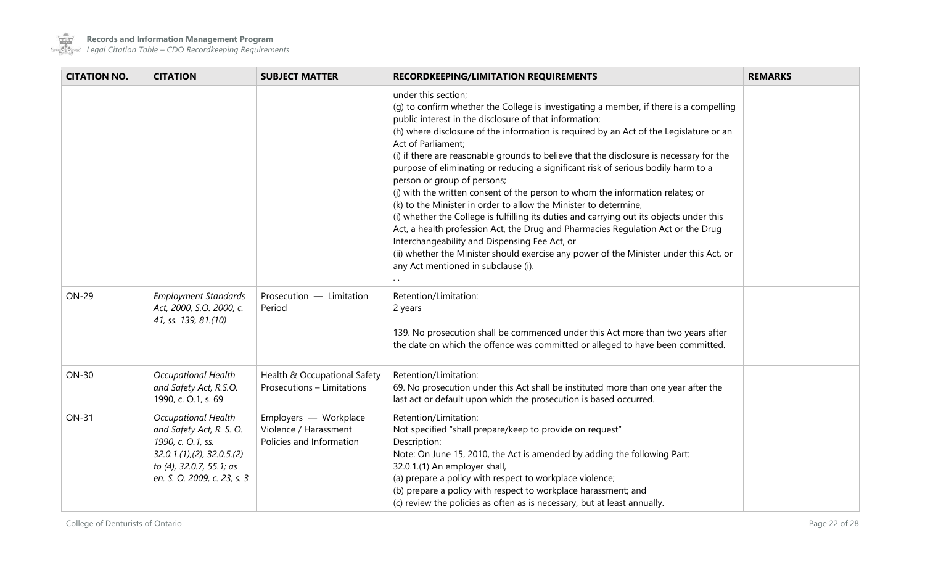

| <b>CITATION NO.</b> | <b>CITATION</b>                                                                                                                                                     | <b>SUBJECT MATTER</b>                                                      | <b>RECORDKEEPING/LIMITATION REQUIREMENTS</b>                                                                                                                                                                                                                                                                                                                                                                                                                                                                                                                                                                                                                                                                                                                                                                                                                                                                                                                                                                                   | <b>REMARKS</b> |
|---------------------|---------------------------------------------------------------------------------------------------------------------------------------------------------------------|----------------------------------------------------------------------------|--------------------------------------------------------------------------------------------------------------------------------------------------------------------------------------------------------------------------------------------------------------------------------------------------------------------------------------------------------------------------------------------------------------------------------------------------------------------------------------------------------------------------------------------------------------------------------------------------------------------------------------------------------------------------------------------------------------------------------------------------------------------------------------------------------------------------------------------------------------------------------------------------------------------------------------------------------------------------------------------------------------------------------|----------------|
|                     |                                                                                                                                                                     |                                                                            | under this section;<br>(q) to confirm whether the College is investigating a member, if there is a compelling<br>public interest in the disclosure of that information;<br>(h) where disclosure of the information is required by an Act of the Legislature or an<br>Act of Parliament;<br>(i) if there are reasonable grounds to believe that the disclosure is necessary for the<br>purpose of eliminating or reducing a significant risk of serious bodily harm to a<br>person or group of persons;<br>(j) with the written consent of the person to whom the information relates; or<br>(k) to the Minister in order to allow the Minister to determine,<br>(i) whether the College is fulfilling its duties and carrying out its objects under this<br>Act, a health profession Act, the Drug and Pharmacies Regulation Act or the Drug<br>Interchangeability and Dispensing Fee Act, or<br>(ii) whether the Minister should exercise any power of the Minister under this Act, or<br>any Act mentioned in subclause (i). |                |
| <b>ON-29</b>        | <b>Employment Standards</b><br>Act, 2000, S.O. 2000, c.<br>41, ss. 139, 81.(10)                                                                                     | Prosecution - Limitation<br>Period                                         | Retention/Limitation:<br>2 years<br>139. No prosecution shall be commenced under this Act more than two years after<br>the date on which the offence was committed or alleged to have been committed.                                                                                                                                                                                                                                                                                                                                                                                                                                                                                                                                                                                                                                                                                                                                                                                                                          |                |
| <b>ON-30</b>        | <b>Occupational Health</b><br>and Safety Act, R.S.O.<br>1990, c. O.1, s. 69                                                                                         | Health & Occupational Safety<br>Prosecutions - Limitations                 | Retention/Limitation:<br>69. No prosecution under this Act shall be instituted more than one year after the<br>last act or default upon which the prosecution is based occurred.                                                                                                                                                                                                                                                                                                                                                                                                                                                                                                                                                                                                                                                                                                                                                                                                                                               |                |
| <b>ON-31</b>        | <b>Occupational Health</b><br>and Safety Act, R. S. O.<br>1990, c. O.1, ss.<br>32.0.1(1), (2), 32.0.5(2)<br>to (4), 32.0.7, 55.1; as<br>en. S. O. 2009, c. 23, s. 3 | Employers - Workplace<br>Violence / Harassment<br>Policies and Information | Retention/Limitation:<br>Not specified "shall prepare/keep to provide on request"<br>Description:<br>Note: On June 15, 2010, the Act is amended by adding the following Part:<br>32.0.1.(1) An employer shall,<br>(a) prepare a policy with respect to workplace violence;<br>(b) prepare a policy with respect to workplace harassment; and<br>(c) review the policies as often as is necessary, but at least annually.                                                                                                                                                                                                                                                                                                                                                                                                                                                                                                                                                                                                       |                |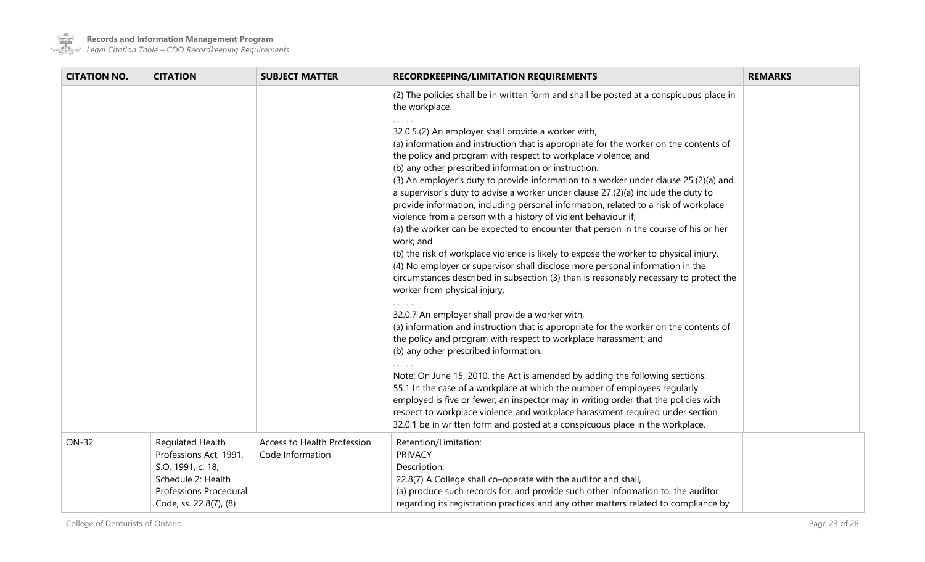

 $\mathcal{L}^{\text{max}}$ 

| <b>CITATION NO.</b> | <b>CITATION</b>                                                                                                                           | <b>SUBJECT MATTER</b>                           | RECORDKEEPING/LIMITATION REQUIREMENTS                                                                                                                                                                                                                                                                                                                                                                                                                                                                                                                                                                                                                                                                                                                                                                                                                                                                                                                                                                                                                                                                                                                                                                                                                                                                                                                                                                                                                                                                                                                                                                                                                                                                                                                                                                            | <b>REMARKS</b> |
|---------------------|-------------------------------------------------------------------------------------------------------------------------------------------|-------------------------------------------------|------------------------------------------------------------------------------------------------------------------------------------------------------------------------------------------------------------------------------------------------------------------------------------------------------------------------------------------------------------------------------------------------------------------------------------------------------------------------------------------------------------------------------------------------------------------------------------------------------------------------------------------------------------------------------------------------------------------------------------------------------------------------------------------------------------------------------------------------------------------------------------------------------------------------------------------------------------------------------------------------------------------------------------------------------------------------------------------------------------------------------------------------------------------------------------------------------------------------------------------------------------------------------------------------------------------------------------------------------------------------------------------------------------------------------------------------------------------------------------------------------------------------------------------------------------------------------------------------------------------------------------------------------------------------------------------------------------------------------------------------------------------------------------------------------------------|----------------|
|                     |                                                                                                                                           |                                                 | (2) The policies shall be in written form and shall be posted at a conspicuous place in<br>the workplace.<br>32.0.5.(2) An employer shall provide a worker with,<br>(a) information and instruction that is appropriate for the worker on the contents of<br>the policy and program with respect to workplace violence; and<br>(b) any other prescribed information or instruction.<br>(3) An employer's duty to provide information to a worker under clause 25.(2)(a) and<br>a supervisor's duty to advise a worker under clause 27.(2)(a) include the duty to<br>provide information, including personal information, related to a risk of workplace<br>violence from a person with a history of violent behaviour if,<br>(a) the worker can be expected to encounter that person in the course of his or her<br>work; and<br>(b) the risk of workplace violence is likely to expose the worker to physical injury.<br>(4) No employer or supervisor shall disclose more personal information in the<br>circumstances described in subsection (3) than is reasonably necessary to protect the<br>worker from physical injury.<br>32.0.7 An employer shall provide a worker with,<br>(a) information and instruction that is appropriate for the worker on the contents of<br>the policy and program with respect to workplace harassment; and<br>(b) any other prescribed information.<br>Note: On June 15, 2010, the Act is amended by adding the following sections:<br>55.1 In the case of a workplace at which the number of employees regularly<br>employed is five or fewer, an inspector may in writing order that the policies with<br>respect to workplace violence and workplace harassment required under section<br>32.0.1 be in written form and posted at a conspicuous place in the workplace. |                |
| <b>ON-32</b>        | Regulated Health<br>Professions Act, 1991,<br>S.O. 1991, c. 18,<br>Schedule 2: Health<br>Professions Procedural<br>Code, ss. 22.8(7), (8) | Access to Health Profession<br>Code Information | Retention/Limitation:<br><b>PRIVACY</b><br>Description:<br>22.8(7) A College shall co-operate with the auditor and shall,<br>(a) produce such records for, and provide such other information to, the auditor<br>regarding its registration practices and any other matters related to compliance by                                                                                                                                                                                                                                                                                                                                                                                                                                                                                                                                                                                                                                                                                                                                                                                                                                                                                                                                                                                                                                                                                                                                                                                                                                                                                                                                                                                                                                                                                                             |                |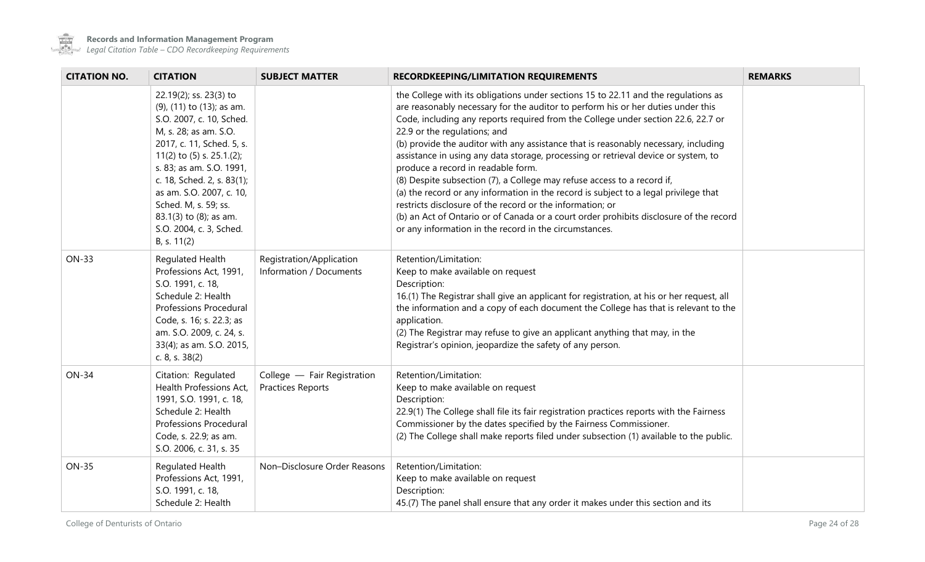

 $\sim$ 

**Records and Information Management Program**

| <b>CITATION NO.</b> | <b>CITATION</b>                                                                                                                                                                                                                                                                                                                                        | <b>SUBJECT MATTER</b>                                   | <b>RECORDKEEPING/LIMITATION REQUIREMENTS</b>                                                                                                                                                                                                                                                                                                                                                                                                                                                                                                                                                                                                                                                                                                                                                                                                                                                       | <b>REMARKS</b> |
|---------------------|--------------------------------------------------------------------------------------------------------------------------------------------------------------------------------------------------------------------------------------------------------------------------------------------------------------------------------------------------------|---------------------------------------------------------|----------------------------------------------------------------------------------------------------------------------------------------------------------------------------------------------------------------------------------------------------------------------------------------------------------------------------------------------------------------------------------------------------------------------------------------------------------------------------------------------------------------------------------------------------------------------------------------------------------------------------------------------------------------------------------------------------------------------------------------------------------------------------------------------------------------------------------------------------------------------------------------------------|----------------|
|                     | 22.19(2); ss. 23(3) to<br>(9), (11) to (13); as am.<br>S.O. 2007, c. 10, Sched.<br>M, s. 28; as am. S.O.<br>2017, c. 11, Sched. 5, s.<br>11(2) to $(5)$ s. 25.1.(2);<br>s. 83; as am. S.O. 1991,<br>c. 18, Sched. 2, s. 83(1);<br>as am. S.O. 2007, c. 10,<br>Sched. M, s. 59; ss.<br>83.1(3) to (8); as am.<br>S.O. 2004, c. 3, Sched.<br>B, s. 11(2) |                                                         | the College with its obligations under sections 15 to 22.11 and the regulations as<br>are reasonably necessary for the auditor to perform his or her duties under this<br>Code, including any reports required from the College under section 22.6, 22.7 or<br>22.9 or the regulations; and<br>(b) provide the auditor with any assistance that is reasonably necessary, including<br>assistance in using any data storage, processing or retrieval device or system, to<br>produce a record in readable form.<br>(8) Despite subsection (7), a College may refuse access to a record if,<br>(a) the record or any information in the record is subject to a legal privilege that<br>restricts disclosure of the record or the information; or<br>(b) an Act of Ontario or of Canada or a court order prohibits disclosure of the record<br>or any information in the record in the circumstances. |                |
| <b>ON-33</b>        | Regulated Health<br>Professions Act, 1991,<br>S.O. 1991, c. 18,<br>Schedule 2: Health<br><b>Professions Procedural</b><br>Code, s. 16; s. 22.3; as<br>am. S.O. 2009, c. 24, s.<br>33(4); as am. S.O. 2015,<br>c. 8, s. 38(2)                                                                                                                           | Registration/Application<br>Information / Documents     | Retention/Limitation:<br>Keep to make available on request<br>Description:<br>16.(1) The Registrar shall give an applicant for registration, at his or her request, all<br>the information and a copy of each document the College has that is relevant to the<br>application.<br>(2) The Registrar may refuse to give an applicant anything that may, in the<br>Registrar's opinion, jeopardize the safety of any person.                                                                                                                                                                                                                                                                                                                                                                                                                                                                         |                |
| <b>ON-34</b>        | Citation: Regulated<br>Health Professions Act,<br>1991, S.O. 1991, c. 18,<br>Schedule 2: Health<br><b>Professions Procedural</b><br>Code, s. 22.9; as am.<br>S.O. 2006, c. 31, s. 35                                                                                                                                                                   | College - Fair Registration<br><b>Practices Reports</b> | Retention/Limitation:<br>Keep to make available on request<br>Description:<br>22.9(1) The College shall file its fair registration practices reports with the Fairness<br>Commissioner by the dates specified by the Fairness Commissioner.<br>(2) The College shall make reports filed under subsection (1) available to the public.                                                                                                                                                                                                                                                                                                                                                                                                                                                                                                                                                              |                |
| <b>ON-35</b>        | Regulated Health<br>Professions Act, 1991,<br>S.O. 1991, c. 18,<br>Schedule 2: Health                                                                                                                                                                                                                                                                  | Non-Disclosure Order Reasons                            | Retention/Limitation:<br>Keep to make available on request<br>Description:<br>45.(7) The panel shall ensure that any order it makes under this section and its                                                                                                                                                                                                                                                                                                                                                                                                                                                                                                                                                                                                                                                                                                                                     |                |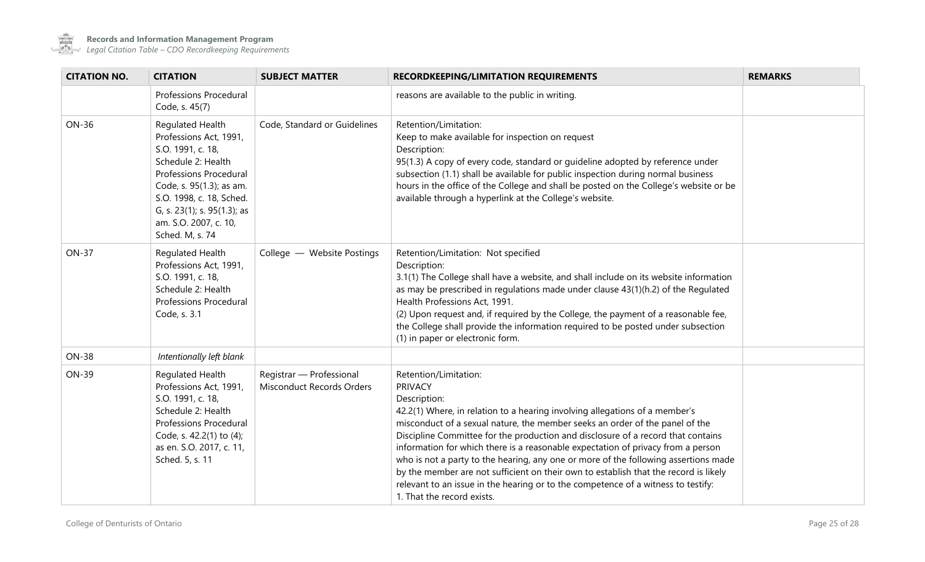

 $\sim$  100  $\mu$ 

| <b>CITATION NO.</b> | <b>CITATION</b>                                                                                                                                                                                                                                    | <b>SUBJECT MATTER</b>                                        | <b>RECORDKEEPING/LIMITATION REQUIREMENTS</b>                                                                                                                                                                                                                                                                                                                                                                                                                                                                                                                                                                                                                                                     | <b>REMARKS</b> |
|---------------------|----------------------------------------------------------------------------------------------------------------------------------------------------------------------------------------------------------------------------------------------------|--------------------------------------------------------------|--------------------------------------------------------------------------------------------------------------------------------------------------------------------------------------------------------------------------------------------------------------------------------------------------------------------------------------------------------------------------------------------------------------------------------------------------------------------------------------------------------------------------------------------------------------------------------------------------------------------------------------------------------------------------------------------------|----------------|
|                     | <b>Professions Procedural</b><br>Code, s. 45(7)                                                                                                                                                                                                    |                                                              | reasons are available to the public in writing.                                                                                                                                                                                                                                                                                                                                                                                                                                                                                                                                                                                                                                                  |                |
| <b>ON-36</b>        | Regulated Health<br>Professions Act, 1991,<br>S.O. 1991, c. 18,<br>Schedule 2: Health<br>Professions Procedural<br>Code, s. 95(1.3); as am.<br>S.O. 1998, c. 18, Sched.<br>G, s. 23(1); s. 95(1.3); as<br>am. S.O. 2007, c. 10,<br>Sched. M, s. 74 | Code, Standard or Guidelines                                 | Retention/Limitation:<br>Keep to make available for inspection on request<br>Description:<br>95(1.3) A copy of every code, standard or guideline adopted by reference under<br>subsection (1.1) shall be available for public inspection during normal business<br>hours in the office of the College and shall be posted on the College's website or be<br>available through a hyperlink at the College's website.                                                                                                                                                                                                                                                                              |                |
| <b>ON-37</b>        | Regulated Health<br>Professions Act, 1991,<br>S.O. 1991, c. 18,<br>Schedule 2: Health<br><b>Professions Procedural</b><br>Code, s. 3.1                                                                                                             | College - Website Postings                                   | Retention/Limitation: Not specified<br>Description:<br>3.1(1) The College shall have a website, and shall include on its website information<br>as may be prescribed in regulations made under clause 43(1)(h.2) of the Regulated<br>Health Professions Act, 1991.<br>(2) Upon request and, if required by the College, the payment of a reasonable fee,<br>the College shall provide the information required to be posted under subsection<br>(1) in paper or electronic form.                                                                                                                                                                                                                 |                |
| <b>ON-38</b>        | Intentionally left blank                                                                                                                                                                                                                           |                                                              |                                                                                                                                                                                                                                                                                                                                                                                                                                                                                                                                                                                                                                                                                                  |                |
| <b>ON-39</b>        | Regulated Health<br>Professions Act, 1991,<br>S.O. 1991, c. 18,<br>Schedule 2: Health<br>Professions Procedural<br>Code, s. 42.2(1) to (4);<br>as en. S.O. 2017, c. 11,<br>Sched. 5, s. 11                                                         | Registrar - Professional<br><b>Misconduct Records Orders</b> | Retention/Limitation:<br><b>PRIVACY</b><br>Description:<br>42.2(1) Where, in relation to a hearing involving allegations of a member's<br>misconduct of a sexual nature, the member seeks an order of the panel of the<br>Discipline Committee for the production and disclosure of a record that contains<br>information for which there is a reasonable expectation of privacy from a person<br>who is not a party to the hearing, any one or more of the following assertions made<br>by the member are not sufficient on their own to establish that the record is likely<br>relevant to an issue in the hearing or to the competence of a witness to testify:<br>1. That the record exists. |                |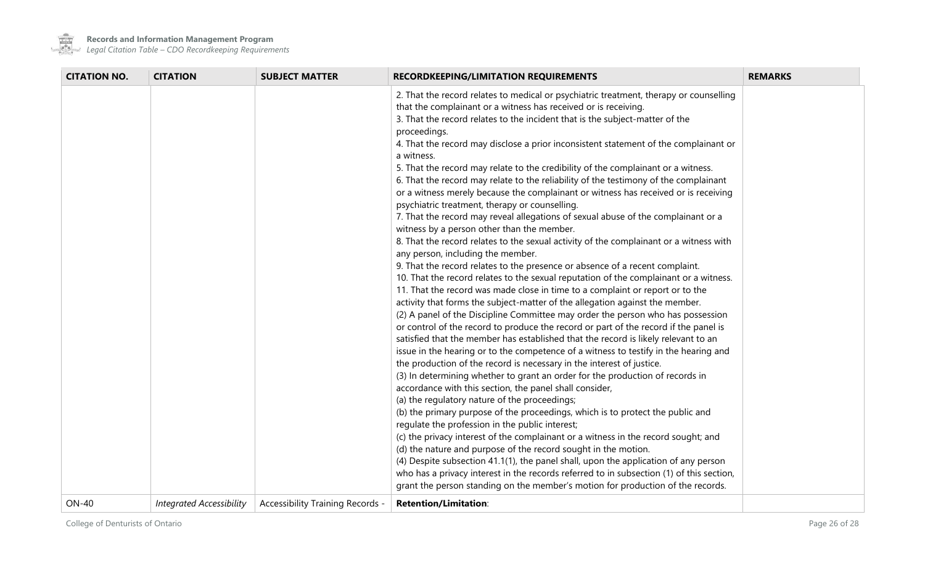

**Contract** 

**Records and Information Management Program**

a sa Tin

| <b>CITATION NO.</b> | <b>CITATION</b>                 | <b>SUBJECT MATTER</b>            | <b>RECORDKEEPING/LIMITATION REQUIREMENTS</b>                                                                                                                                | <b>REMARKS</b> |
|---------------------|---------------------------------|----------------------------------|-----------------------------------------------------------------------------------------------------------------------------------------------------------------------------|----------------|
|                     |                                 |                                  | 2. That the record relates to medical or psychiatric treatment, therapy or counselling<br>that the complainant or a witness has received or is receiving.                   |                |
|                     |                                 |                                  | 3. That the record relates to the incident that is the subject-matter of the<br>proceedings.                                                                                |                |
|                     |                                 |                                  | 4. That the record may disclose a prior inconsistent statement of the complainant or<br>a witness.                                                                          |                |
|                     |                                 |                                  | 5. That the record may relate to the credibility of the complainant or a witness.                                                                                           |                |
|                     |                                 |                                  | 6. That the record may relate to the reliability of the testimony of the complainant<br>or a witness merely because the complainant or witness has received or is receiving |                |
|                     |                                 |                                  | psychiatric treatment, therapy or counselling.<br>7. That the record may reveal allegations of sexual abuse of the complainant or a                                         |                |
|                     |                                 |                                  | witness by a person other than the member.                                                                                                                                  |                |
|                     |                                 |                                  | 8. That the record relates to the sexual activity of the complainant or a witness with<br>any person, including the member.                                                 |                |
|                     |                                 |                                  | 9. That the record relates to the presence or absence of a recent complaint.                                                                                                |                |
|                     |                                 |                                  | 10. That the record relates to the sexual reputation of the complainant or a witness.                                                                                       |                |
|                     |                                 |                                  | 11. That the record was made close in time to a complaint or report or to the                                                                                               |                |
|                     |                                 |                                  | activity that forms the subject-matter of the allegation against the member.<br>(2) A panel of the Discipline Committee may order the person who has possession             |                |
|                     |                                 |                                  | or control of the record to produce the record or part of the record if the panel is                                                                                        |                |
|                     |                                 |                                  | satisfied that the member has established that the record is likely relevant to an                                                                                          |                |
|                     |                                 |                                  | issue in the hearing or to the competence of a witness to testify in the hearing and                                                                                        |                |
|                     |                                 |                                  | the production of the record is necessary in the interest of justice.                                                                                                       |                |
|                     |                                 |                                  | (3) In determining whether to grant an order for the production of records in<br>accordance with this section, the panel shall consider,                                    |                |
|                     |                                 |                                  | (a) the regulatory nature of the proceedings;                                                                                                                               |                |
|                     |                                 |                                  | (b) the primary purpose of the proceedings, which is to protect the public and                                                                                              |                |
|                     |                                 |                                  | regulate the profession in the public interest;                                                                                                                             |                |
|                     |                                 |                                  | (c) the privacy interest of the complainant or a witness in the record sought; and                                                                                          |                |
|                     |                                 |                                  | (d) the nature and purpose of the record sought in the motion.                                                                                                              |                |
|                     |                                 |                                  | (4) Despite subsection 41.1(1), the panel shall, upon the application of any person                                                                                         |                |
|                     |                                 |                                  | who has a privacy interest in the records referred to in subsection (1) of this section,                                                                                    |                |
|                     |                                 |                                  | grant the person standing on the member's motion for production of the records.                                                                                             |                |
| <b>ON-40</b>        | <b>Integrated Accessibility</b> | Accessibility Training Records - | <b>Retention/Limitation:</b>                                                                                                                                                |                |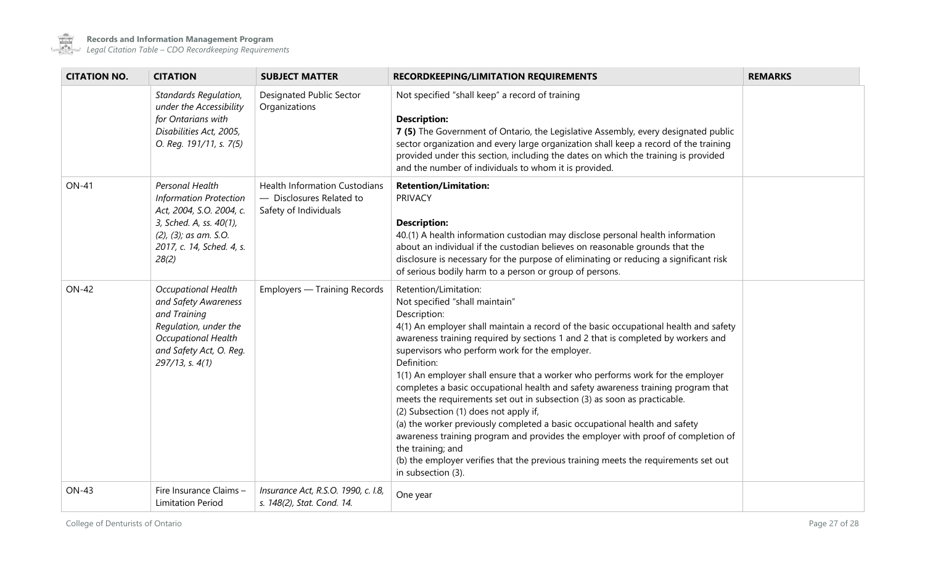

 $\sim$ 

| <b>CITATION NO.</b> | <b>CITATION</b>                                                                                                                                                        | <b>SUBJECT MATTER</b>                                                                     | <b>RECORDKEEPING/LIMITATION REQUIREMENTS</b>                                                                                                                                                                                                                                                                                                                                                                                                                                                                                                                                                                                                                                                                                                                                                                                                                                                                        | <b>REMARKS</b> |
|---------------------|------------------------------------------------------------------------------------------------------------------------------------------------------------------------|-------------------------------------------------------------------------------------------|---------------------------------------------------------------------------------------------------------------------------------------------------------------------------------------------------------------------------------------------------------------------------------------------------------------------------------------------------------------------------------------------------------------------------------------------------------------------------------------------------------------------------------------------------------------------------------------------------------------------------------------------------------------------------------------------------------------------------------------------------------------------------------------------------------------------------------------------------------------------------------------------------------------------|----------------|
|                     | Standards Regulation,<br>under the Accessibility<br>for Ontarians with<br>Disabilities Act, 2005,<br>O. Reg. 191/11, s. 7(5)                                           | Designated Public Sector<br>Organizations                                                 | Not specified "shall keep" a record of training<br><b>Description:</b><br>7 (5) The Government of Ontario, the Legislative Assembly, every designated public<br>sector organization and every large organization shall keep a record of the training<br>provided under this section, including the dates on which the training is provided<br>and the number of individuals to whom it is provided.                                                                                                                                                                                                                                                                                                                                                                                                                                                                                                                 |                |
| <b>ON-41</b>        | Personal Health<br><b>Information Protection</b><br>Act, 2004, S.O. 2004, c.<br>3, Sched. A, ss. 40(1),<br>(2), (3); as am. S.O.<br>2017, c. 14, Sched. 4, s.<br>28(2) | <b>Health Information Custodians</b><br>- Disclosures Related to<br>Safety of Individuals | <b>Retention/Limitation:</b><br><b>PRIVACY</b><br><b>Description:</b><br>40.(1) A health information custodian may disclose personal health information<br>about an individual if the custodian believes on reasonable grounds that the<br>disclosure is necessary for the purpose of eliminating or reducing a significant risk<br>of serious bodily harm to a person or group of persons.                                                                                                                                                                                                                                                                                                                                                                                                                                                                                                                         |                |
| <b>ON-42</b>        | <b>Occupational Health</b><br>and Safety Awareness<br>and Training<br>Regulation, under the<br>Occupational Health<br>and Safety Act, O. Reg.<br>$297/13$ , s. $4(1)$  | <b>Employers - Training Records</b>                                                       | Retention/Limitation:<br>Not specified "shall maintain"<br>Description:<br>4(1) An employer shall maintain a record of the basic occupational health and safety<br>awareness training required by sections 1 and 2 that is completed by workers and<br>supervisors who perform work for the employer.<br>Definition:<br>1(1) An employer shall ensure that a worker who performs work for the employer<br>completes a basic occupational health and safety awareness training program that<br>meets the requirements set out in subsection (3) as soon as practicable.<br>(2) Subsection (1) does not apply if,<br>(a) the worker previously completed a basic occupational health and safety<br>awareness training program and provides the employer with proof of completion of<br>the training; and<br>(b) the employer verifies that the previous training meets the requirements set out<br>in subsection (3). |                |
| <b>ON-43</b>        | Fire Insurance Claims -<br><b>Limitation Period</b>                                                                                                                    | Insurance Act, R.S.O. 1990, c. I.8,<br>s. 148(2), Stat. Cond. 14.                         | One year                                                                                                                                                                                                                                                                                                                                                                                                                                                                                                                                                                                                                                                                                                                                                                                                                                                                                                            |                |